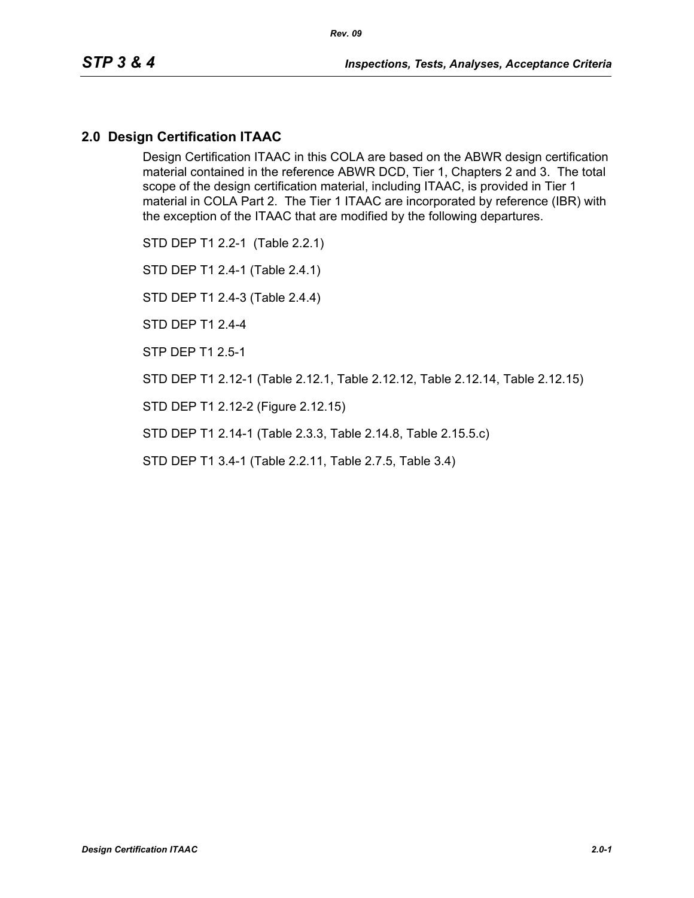## **2.0 Design Certification ITAAC**

Design Certification ITAAC in this COLA are based on the ABWR design certification material contained in the reference ABWR DCD, Tier 1, Chapters 2 and 3. The total scope of the design certification material, including ITAAC, is provided in Tier 1 material in COLA Part 2. The Tier 1 ITAAC are incorporated by reference (IBR) with the exception of the ITAAC that are modified by the following departures.

STD DEP T1 2.2-1 (Table 2.2.1)

STD DEP T1 2.4-1 (Table 2.4.1)

STD DEP T1 2.4-3 (Table 2.4.4)

STD DEP T1 2.4-4

STP DEP T1 2.5-1

STD DEP T1 2.12-1 (Table 2.12.1, Table 2.12.12, Table 2.12.14, Table 2.12.15)

STD DEP T1 2.12-2 (Figure 2.12.15)

STD DEP T1 2.14-1 (Table 2.3.3, Table 2.14.8, Table 2.15.5.c)

STD DEP T1 3.4-1 (Table 2.2.11, Table 2.7.5, Table 3.4)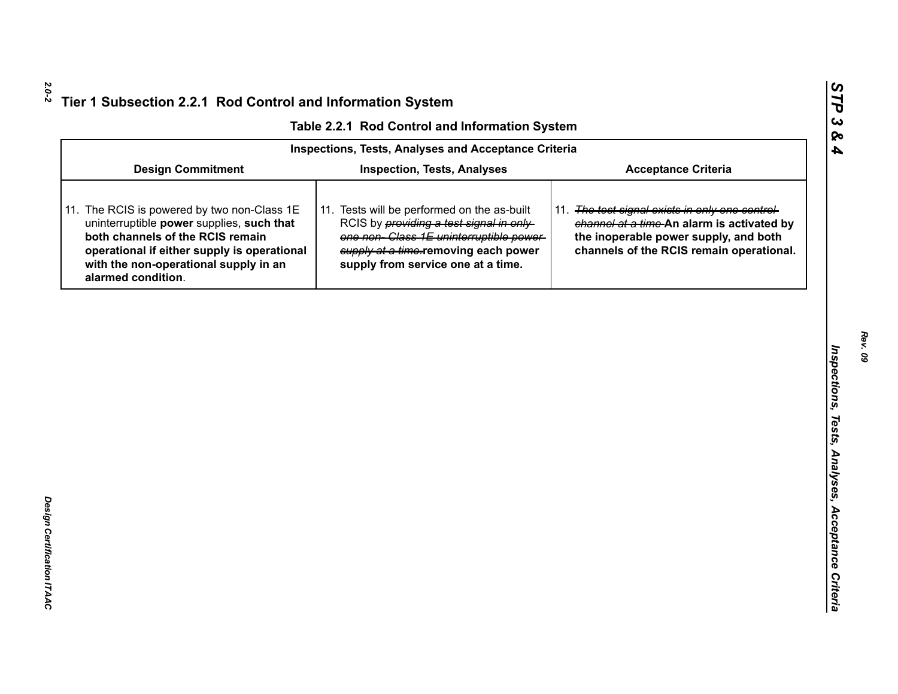|  |  | Table 2.2.1 Rod Control and Information System |  |
|--|--|------------------------------------------------|--|
|--|--|------------------------------------------------|--|

|                                                                                                                                                                                                                                            | Table 2.2.1 Rod Control and Information System                                                                                                                                                                         |                                                                                                                                                                                    |  |  |
|--------------------------------------------------------------------------------------------------------------------------------------------------------------------------------------------------------------------------------------------|------------------------------------------------------------------------------------------------------------------------------------------------------------------------------------------------------------------------|------------------------------------------------------------------------------------------------------------------------------------------------------------------------------------|--|--|
| <b>Inspections, Tests, Analyses and Acceptance Criteria</b>                                                                                                                                                                                |                                                                                                                                                                                                                        |                                                                                                                                                                                    |  |  |
| <b>Design Commitment</b>                                                                                                                                                                                                                   | <b>Inspection, Tests, Analyses</b>                                                                                                                                                                                     | <b>Acceptance Criteria</b>                                                                                                                                                         |  |  |
| 11. The RCIS is powered by two non-Class 1E<br>uninterruptible power supplies, such that<br>both channels of the RCIS remain<br>operational if either supply is operational<br>with the non-operational supply in an<br>alarmed condition. | 11. Tests will be performed on the as-built<br>RCIS by <i>providing a test signal in only</i><br>one non-Class 1E uninterruptible power-<br>supply at a time-removing each power<br>supply from service one at a time. | 11. The test signal exists in only one control-<br>channel at a time-An alarm is activated by<br>the inoperable power supply, and both<br>channels of the RCIS remain operational. |  |  |
|                                                                                                                                                                                                                                            |                                                                                                                                                                                                                        |                                                                                                                                                                                    |  |  |
|                                                                                                                                                                                                                                            |                                                                                                                                                                                                                        |                                                                                                                                                                                    |  |  |
|                                                                                                                                                                                                                                            |                                                                                                                                                                                                                        |                                                                                                                                                                                    |  |  |
|                                                                                                                                                                                                                                            |                                                                                                                                                                                                                        |                                                                                                                                                                                    |  |  |
|                                                                                                                                                                                                                                            |                                                                                                                                                                                                                        |                                                                                                                                                                                    |  |  |
|                                                                                                                                                                                                                                            |                                                                                                                                                                                                                        |                                                                                                                                                                                    |  |  |
|                                                                                                                                                                                                                                            |                                                                                                                                                                                                                        |                                                                                                                                                                                    |  |  |
|                                                                                                                                                                                                                                            |                                                                                                                                                                                                                        |                                                                                                                                                                                    |  |  |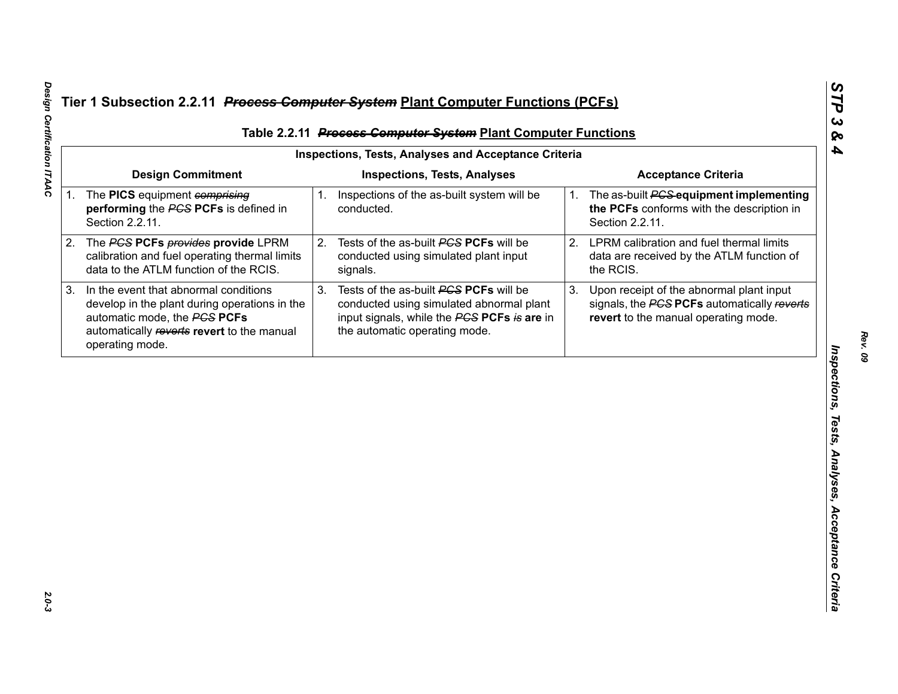| Table 2.2.11 Process Computer System Plant Computer Functions                                                                                                                                 |    |                                                                                                                                                                    |                                                     |                                                                                                                                 |  |
|-----------------------------------------------------------------------------------------------------------------------------------------------------------------------------------------------|----|--------------------------------------------------------------------------------------------------------------------------------------------------------------------|-----------------------------------------------------|---------------------------------------------------------------------------------------------------------------------------------|--|
| <b>Design Commitment</b>                                                                                                                                                                      |    | <b>Inspections, Tests, Analyses</b>                                                                                                                                |                                                     | <b>Acceptance Criteria</b>                                                                                                      |  |
| 1. The PICS equipment comprising<br>performing the PCS PCFs is defined in<br>Section 2.2.11.                                                                                                  |    | conducted.                                                                                                                                                         | 1.                                                  | The as-built <b>PCS</b> equipment implementing<br>the PCFs conforms with the description in<br>Section 2.2.11.                  |  |
| The PCS PCFs provides provide LPRM<br>2.<br>calibration and fuel operating thermal limits<br>data to the ATLM function of the RCIS.                                                           |    | Tests of the as-built PCS PCFs will be<br>conducted using simulated plant input<br>signals.                                                                        | 2.                                                  | LPRM calibration and fuel thermal limits<br>data are received by the ATLM function of<br>the RCIS.                              |  |
| 3.<br>In the event that abnormal conditions<br>develop in the plant during operations in the<br>automatic mode, the PCS PCFs<br>automatically reverts revert to the manual<br>operating mode. | 3. | Tests of the as-built PCS PCFs will be<br>conducted using simulated abnormal plant<br>input signals, while the PCS PCFs is are in<br>the automatic operating mode. | 3.                                                  | Upon receipt of the abnormal plant input<br>signals, the PCS PCFs automatically reverts<br>revert to the manual operating mode. |  |
|                                                                                                                                                                                               |    |                                                                                                                                                                    |                                                     |                                                                                                                                 |  |
|                                                                                                                                                                                               |    |                                                                                                                                                                    |                                                     |                                                                                                                                 |  |
|                                                                                                                                                                                               |    |                                                                                                                                                                    |                                                     |                                                                                                                                 |  |
|                                                                                                                                                                                               |    |                                                                                                                                                                    |                                                     |                                                                                                                                 |  |
|                                                                                                                                                                                               |    |                                                                                                                                                                    |                                                     |                                                                                                                                 |  |
|                                                                                                                                                                                               |    |                                                                                                                                                                    | 1. Inspections of the as-built system will be<br>2. | <b>Inspections, Tests, Analyses and Acceptance Criteria</b>                                                                     |  |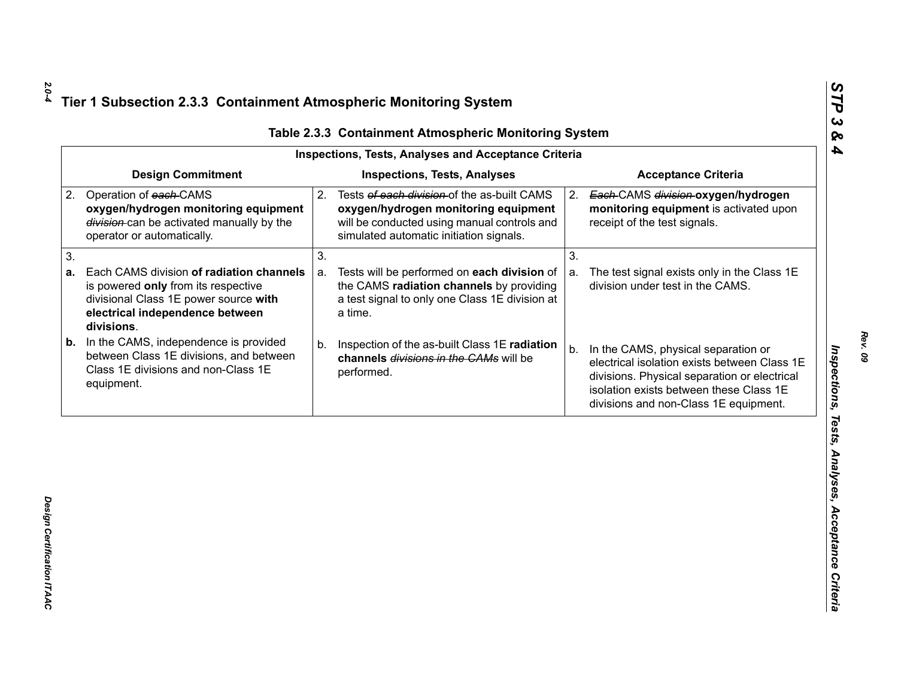| <b>Design Commitment</b><br><b>Inspections, Tests, Analyses</b><br><b>Acceptance Criteria</b><br>Operation of each-CAMS<br>Tests of each division of the as-built CAMS<br>2.<br>Each-CAMS division-oxygen/hydrogen<br>2.<br>oxygen/hydrogen monitoring equipment<br>oxygen/hydrogen monitoring equipment<br>division-can be activated manually by the<br>will be conducted using manual controls and<br>receipt of the test signals.<br>simulated automatic initiation signals.<br>operator or automatically.<br>3.<br>3.<br>Each CAMS division of radiation channels<br>Tests will be performed on each division of<br>a.<br>a.<br>the CAMS radiation channels by providing<br>division under test in the CAMS.<br>is powered only from its respective<br>a test signal to only one Class 1E division at<br>divisional Class 1E power source with | monitoring equipment is activated upon                                                       |
|----------------------------------------------------------------------------------------------------------------------------------------------------------------------------------------------------------------------------------------------------------------------------------------------------------------------------------------------------------------------------------------------------------------------------------------------------------------------------------------------------------------------------------------------------------------------------------------------------------------------------------------------------------------------------------------------------------------------------------------------------------------------------------------------------------------------------------------------------|----------------------------------------------------------------------------------------------|
| 2.                                                                                                                                                                                                                                                                                                                                                                                                                                                                                                                                                                                                                                                                                                                                                                                                                                                 |                                                                                              |
| 3.<br>а.                                                                                                                                                                                                                                                                                                                                                                                                                                                                                                                                                                                                                                                                                                                                                                                                                                           |                                                                                              |
|                                                                                                                                                                                                                                                                                                                                                                                                                                                                                                                                                                                                                                                                                                                                                                                                                                                    |                                                                                              |
| electrical independence between<br>a time.<br>divisions.                                                                                                                                                                                                                                                                                                                                                                                                                                                                                                                                                                                                                                                                                                                                                                                           | The test signal exists only in the Class 1E                                                  |
| In the CAMS, independence is provided<br>b.<br>Inspection of the as-built Class 1E radiation<br>b.<br>In the CAMS, physical separation or<br>b.<br>between Class 1E divisions, and between<br>channels divisions in the CAMs will be<br>Class 1E divisions and non-Class 1E<br>performed.<br>equipment.<br>isolation exists between these Class 1E<br>divisions and non-Class 1E equipment.                                                                                                                                                                                                                                                                                                                                                                                                                                                        | electrical isolation exists between Class 1E<br>divisions. Physical separation or electrical |

*STP 3 & 4*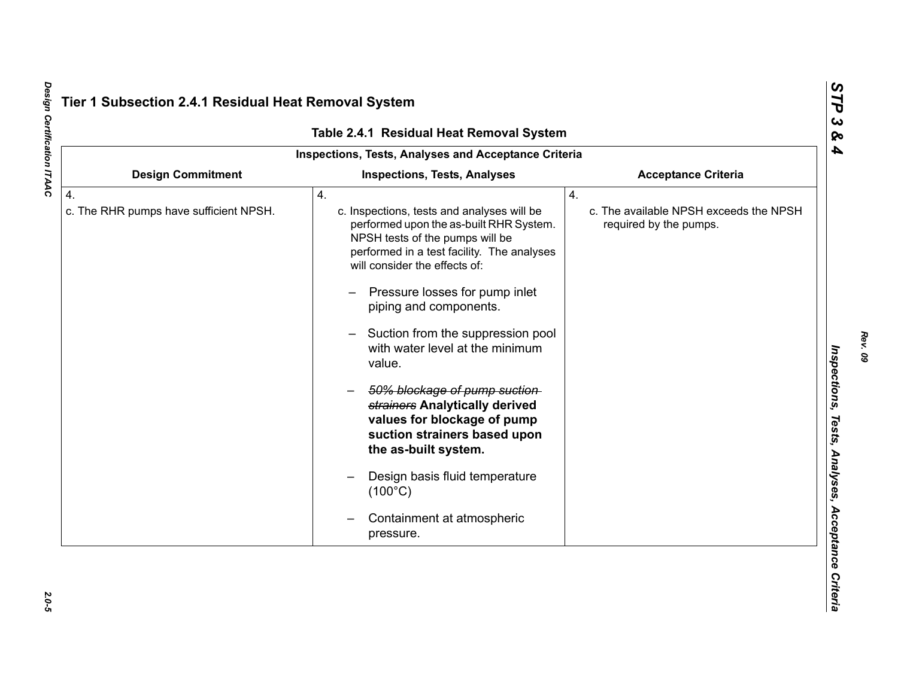|                                                            | Table 2.4.1 Residual Heat Removal System                                                                                                                                                                                                                                                                                                                                                                                                                                                                                                                                                                               |                                                                        |
|------------------------------------------------------------|------------------------------------------------------------------------------------------------------------------------------------------------------------------------------------------------------------------------------------------------------------------------------------------------------------------------------------------------------------------------------------------------------------------------------------------------------------------------------------------------------------------------------------------------------------------------------------------------------------------------|------------------------------------------------------------------------|
|                                                            | Inspections, Tests, Analyses and Acceptance Criteria                                                                                                                                                                                                                                                                                                                                                                                                                                                                                                                                                                   |                                                                        |
| <b>Design Commitment</b>                                   | <b>Inspections, Tests, Analyses</b>                                                                                                                                                                                                                                                                                                                                                                                                                                                                                                                                                                                    | <b>Acceptance Criteria</b>                                             |
| $\overline{4}$ .<br>c. The RHR pumps have sufficient NPSH. | 4.<br>c. Inspections, tests and analyses will be<br>performed upon the as-built RHR System.<br>NPSH tests of the pumps will be<br>performed in a test facility. The analyses<br>will consider the effects of:<br>Pressure losses for pump inlet<br>piping and components.<br>Suction from the suppression pool<br>with water level at the minimum<br>value.<br>50% blockage of pump suction-<br>strainers Analytically derived<br>values for blockage of pump<br>suction strainers based upon<br>the as-built system.<br>Design basis fluid temperature<br>$(100^{\circ}C)$<br>Containment at atmospheric<br>pressure. | 4.<br>c. The available NPSH exceeds the NPSH<br>required by the pumps. |

Design Certification ITAAC *Design Certification ITAAC 2.0-5*

 $2.0 - 5$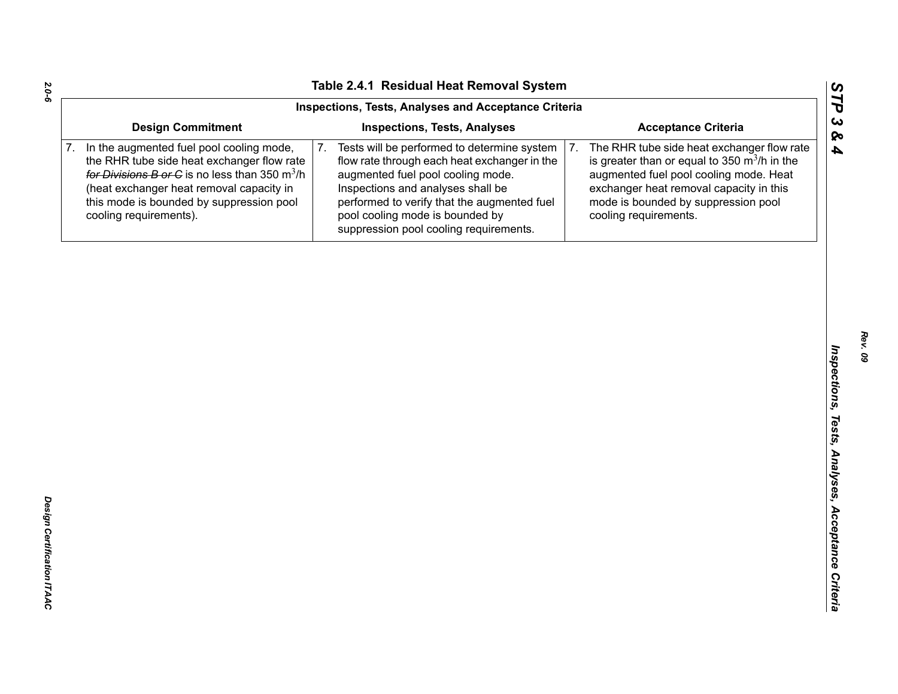|                                                                                                                                                                                                                                                              | Inspections, Tests, Analyses and Acceptance Criteria                                                                                                                                                                                                                                                    |                                                                                                                                                                                                                                                         |
|--------------------------------------------------------------------------------------------------------------------------------------------------------------------------------------------------------------------------------------------------------------|---------------------------------------------------------------------------------------------------------------------------------------------------------------------------------------------------------------------------------------------------------------------------------------------------------|---------------------------------------------------------------------------------------------------------------------------------------------------------------------------------------------------------------------------------------------------------|
| <b>Design Commitment</b>                                                                                                                                                                                                                                     | <b>Inspections, Tests, Analyses</b>                                                                                                                                                                                                                                                                     | <b>Acceptance Criteria</b>                                                                                                                                                                                                                              |
| In the augmented fuel pool cooling mode,<br>the RHR tube side heat exchanger flow rate<br>for Divisions B or C is no less than 350 $m^3/h$<br>(heat exchanger heat removal capacity in<br>this mode is bounded by suppression pool<br>cooling requirements). | Tests will be performed to determine system<br>7.<br>flow rate through each heat exchanger in the<br>augmented fuel pool cooling mode.<br>Inspections and analyses shall be<br>performed to verify that the augmented fuel<br>pool cooling mode is bounded by<br>suppression pool cooling requirements. | The RHR tube side heat exchanger flow rate<br>7.<br>is greater than or equal to 350 $m^3/h$ in the<br>augmented fuel pool cooling mode. Heat<br>exchanger heat removal capacity in this<br>mode is bounded by suppression pool<br>cooling requirements. |
|                                                                                                                                                                                                                                                              |                                                                                                                                                                                                                                                                                                         |                                                                                                                                                                                                                                                         |
|                                                                                                                                                                                                                                                              |                                                                                                                                                                                                                                                                                                         |                                                                                                                                                                                                                                                         |
|                                                                                                                                                                                                                                                              |                                                                                                                                                                                                                                                                                                         |                                                                                                                                                                                                                                                         |
|                                                                                                                                                                                                                                                              |                                                                                                                                                                                                                                                                                                         |                                                                                                                                                                                                                                                         |
|                                                                                                                                                                                                                                                              |                                                                                                                                                                                                                                                                                                         |                                                                                                                                                                                                                                                         |
|                                                                                                                                                                                                                                                              |                                                                                                                                                                                                                                                                                                         |                                                                                                                                                                                                                                                         |
|                                                                                                                                                                                                                                                              |                                                                                                                                                                                                                                                                                                         |                                                                                                                                                                                                                                                         |
|                                                                                                                                                                                                                                                              |                                                                                                                                                                                                                                                                                                         |                                                                                                                                                                                                                                                         |
|                                                                                                                                                                                                                                                              |                                                                                                                                                                                                                                                                                                         |                                                                                                                                                                                                                                                         |
|                                                                                                                                                                                                                                                              |                                                                                                                                                                                                                                                                                                         |                                                                                                                                                                                                                                                         |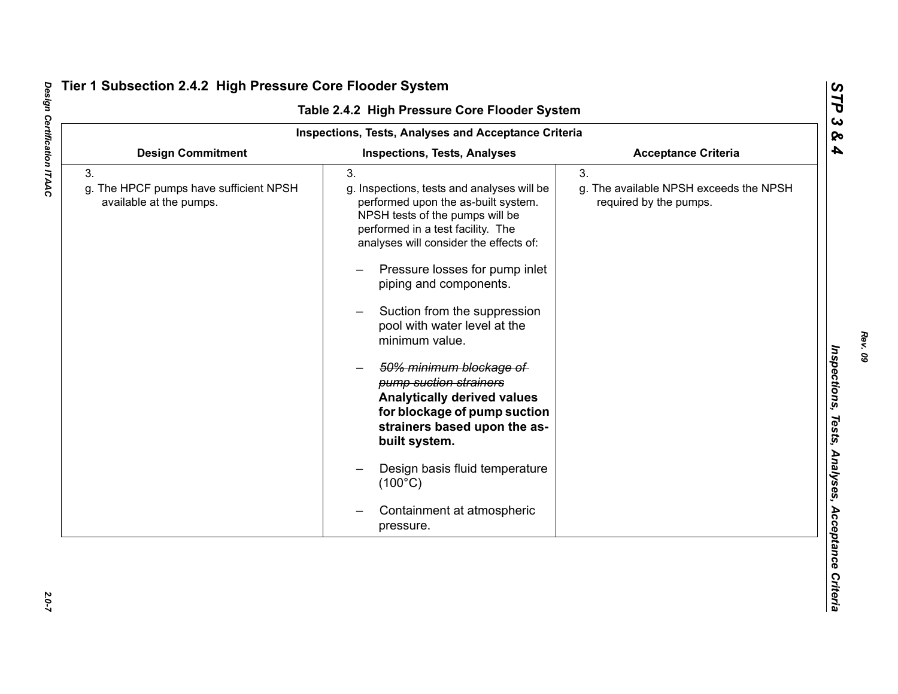| <b>Inspections, Tests, Analyses and Acceptance Criteria</b>             |                                                                                                                                                                                                                                                                                                                                                                                                                                                                                                                                                                                                                                      |                                                                        |  |
|-------------------------------------------------------------------------|--------------------------------------------------------------------------------------------------------------------------------------------------------------------------------------------------------------------------------------------------------------------------------------------------------------------------------------------------------------------------------------------------------------------------------------------------------------------------------------------------------------------------------------------------------------------------------------------------------------------------------------|------------------------------------------------------------------------|--|
| <b>Design Commitment</b>                                                | <b>Inspections, Tests, Analyses</b>                                                                                                                                                                                                                                                                                                                                                                                                                                                                                                                                                                                                  | <b>Acceptance Criteria</b>                                             |  |
| 3.<br>g. The HPCF pumps have sufficient NPSH<br>available at the pumps. | 3.<br>g. Inspections, tests and analyses will be<br>performed upon the as-built system.<br>NPSH tests of the pumps will be<br>performed in a test facility. The<br>analyses will consider the effects of:<br>Pressure losses for pump inlet<br>piping and components.<br>Suction from the suppression<br>pool with water level at the<br>minimum value.<br>50% minimum blockage of<br>pump suction strainers<br><b>Analytically derived values</b><br>for blockage of pump suction<br>strainers based upon the as-<br>built system.<br>Design basis fluid temperature<br>$(100^{\circ}C)$<br>Containment at atmospheric<br>pressure. | 3.<br>g. The available NPSH exceeds the NPSH<br>required by the pumps. |  |

# Design Certification ITAAC *Design Certification ITAAC 2.0-7*

*Rev. 09*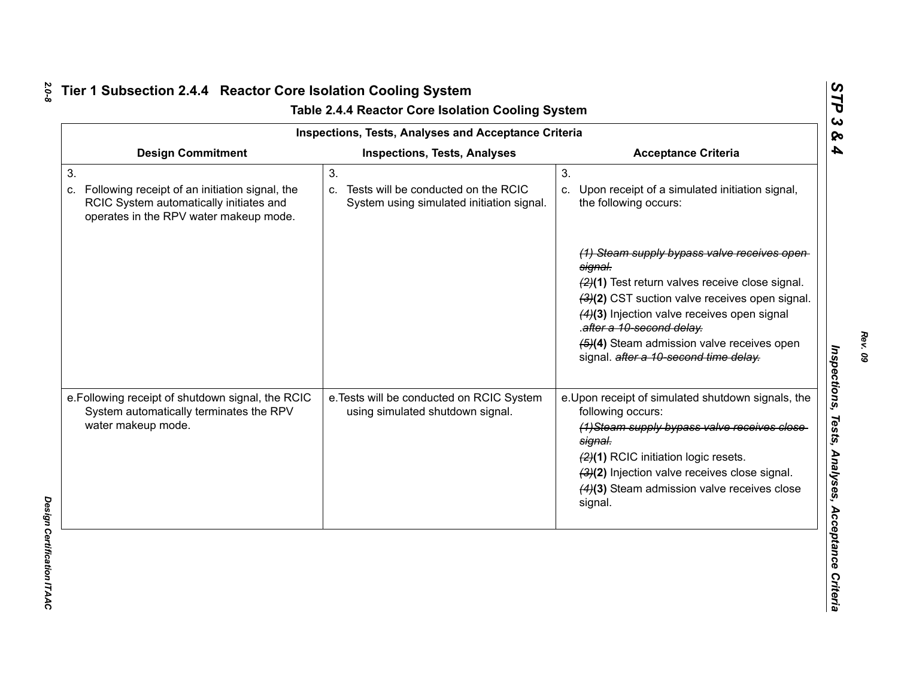|                                                                                                                                                 |    | <b>Inspections, Tests, Analyses and Acceptance Criteria</b>                         |                                                                                                                                                                                                                                                                                                                                                                                                                    |  |
|-------------------------------------------------------------------------------------------------------------------------------------------------|----|-------------------------------------------------------------------------------------|--------------------------------------------------------------------------------------------------------------------------------------------------------------------------------------------------------------------------------------------------------------------------------------------------------------------------------------------------------------------------------------------------------------------|--|
| <b>Design Commitment</b>                                                                                                                        |    | <b>Inspections, Tests, Analyses</b>                                                 | <b>Acceptance Criteria</b>                                                                                                                                                                                                                                                                                                                                                                                         |  |
| 3.<br>Following receipt of an initiation signal, the<br>C.<br>RCIC System automatically initiates and<br>operates in the RPV water makeup mode. | 3. | c. Tests will be conducted on the RCIC<br>System using simulated initiation signal. | 3.<br>c. Upon receipt of a simulated initiation signal,<br>the following occurs:<br>(1) Steam supply bypass valve receives open<br>signal.<br>(2)(1) Test return valves receive close signal.<br>(3)(2) CST suction valve receives open signal.<br>(4)(3) Injection valve receives open signal<br>.after a 10-second delay.<br>(5)(4) Steam admission valve receives open<br>signal. after a 10-second time delay. |  |
| e. Following receipt of shutdown signal, the RCIC<br>System automatically terminates the RPV<br>water makeup mode.                              |    | e. Tests will be conducted on RCIC System<br>using simulated shutdown signal.       | e. Upon receipt of simulated shutdown signals, the<br>following occurs:<br>(1) Steam supply bypass valve receives close<br>signal.<br>(2)(1) RCIC initiation logic resets.<br>(3)(2) Injection valve receives close signal.<br>(4)(3) Steam admission valve receives close<br>signal.                                                                                                                              |  |

*Rev. 09*

*STP 3 & 4*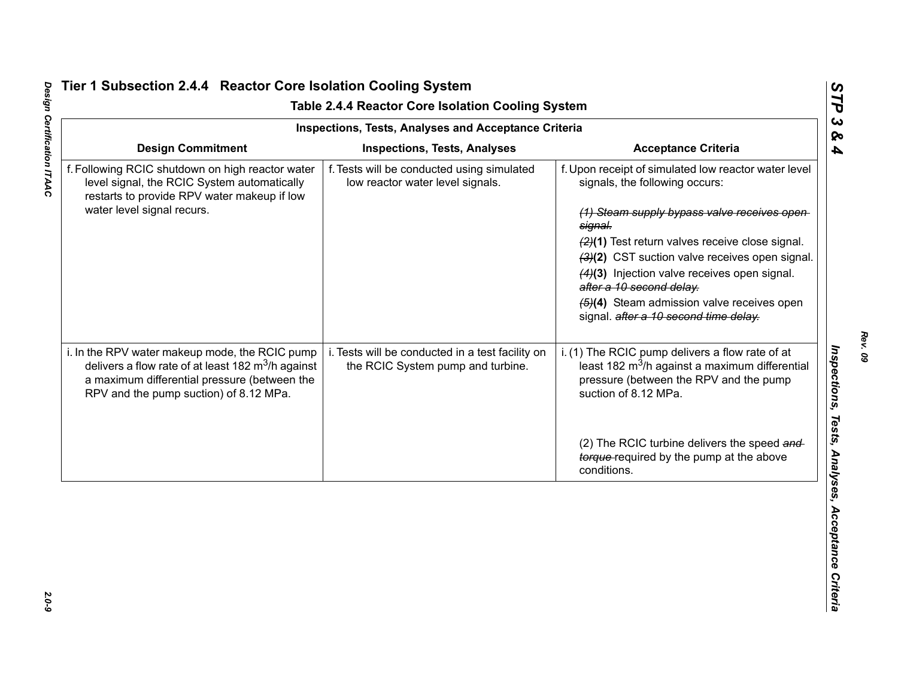|                                                                                                                                                                                                          | <b>Inspections, Tests, Analyses and Acceptance Criteria</b>                           |                                                                                                                                                                                                                                                                                                                                                                                                                                    |  |  |
|----------------------------------------------------------------------------------------------------------------------------------------------------------------------------------------------------------|---------------------------------------------------------------------------------------|------------------------------------------------------------------------------------------------------------------------------------------------------------------------------------------------------------------------------------------------------------------------------------------------------------------------------------------------------------------------------------------------------------------------------------|--|--|
| <b>Design Commitment</b>                                                                                                                                                                                 | <b>Inspections, Tests, Analyses</b>                                                   | <b>Acceptance Criteria</b>                                                                                                                                                                                                                                                                                                                                                                                                         |  |  |
| f. Following RCIC shutdown on high reactor water<br>level signal, the RCIC System automatically<br>restarts to provide RPV water makeup if low<br>water level signal recurs.                             | f. Tests will be conducted using simulated<br>low reactor water level signals.        | f. Upon receipt of simulated low reactor water level<br>signals, the following occurs:<br>(1) Steam supply bypass valve receives open<br>signal.<br>(2)(1) Test return valves receive close signal.<br>(3)(2) CST suction valve receives open signal.<br>(4)(3) Injection valve receives open signal.<br>after a 10 second delay.<br>$\left(4\right)$ Steam admission valve receives open<br>signal. after a 10 second time delay. |  |  |
| i. In the RPV water makeup mode, the RCIC pump<br>delivers a flow rate of at least 182 $\text{m}^3$ /h against<br>a maximum differential pressure (between the<br>RPV and the pump suction) of 8.12 MPa. | i. Tests will be conducted in a test facility on<br>the RCIC System pump and turbine. | i. (1) The RCIC pump delivers a flow rate of at<br>least 182 m <sup>3</sup> /h against a maximum differential<br>pressure (between the RPV and the pump<br>suction of 8.12 MPa.                                                                                                                                                                                                                                                    |  |  |
|                                                                                                                                                                                                          |                                                                                       | (2) The RCIC turbine delivers the speed and<br>torque-required by the pump at the above<br>conditions.                                                                                                                                                                                                                                                                                                                             |  |  |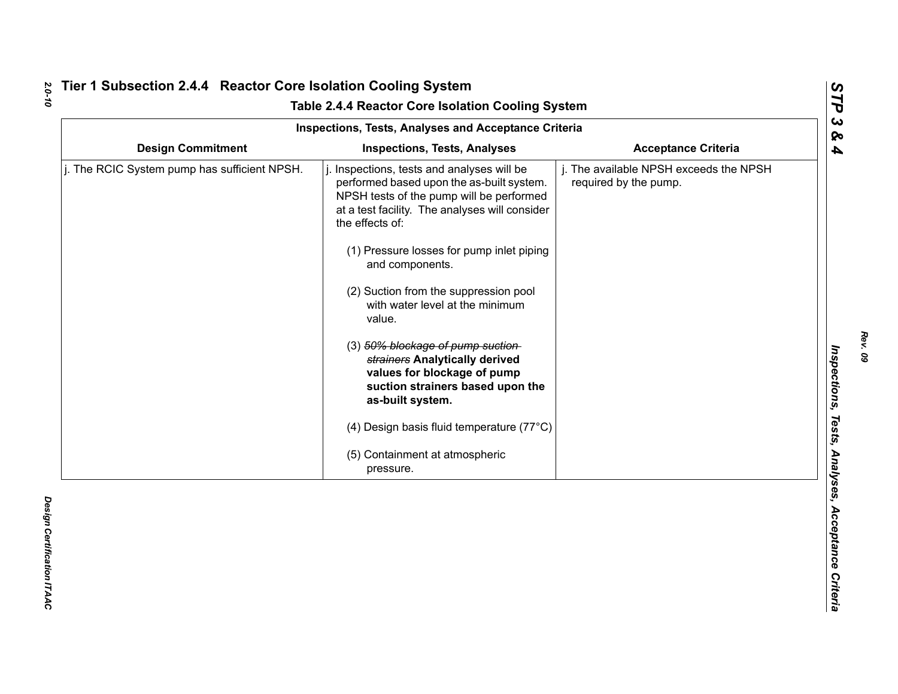|                                              | Inspections, Tests, Analyses and Acceptance Criteria                                                                                                                                                                                                                                                                                                                                                                                                                                                                                                                                                                  | Table 2.4.4 Reactor Core Isolation Cooling System               |
|----------------------------------------------|-----------------------------------------------------------------------------------------------------------------------------------------------------------------------------------------------------------------------------------------------------------------------------------------------------------------------------------------------------------------------------------------------------------------------------------------------------------------------------------------------------------------------------------------------------------------------------------------------------------------------|-----------------------------------------------------------------|
| <b>Design Commitment</b>                     | <b>Inspections, Tests, Analyses</b>                                                                                                                                                                                                                                                                                                                                                                                                                                                                                                                                                                                   | <b>Acceptance Criteria</b>                                      |
| j. The RCIC System pump has sufficient NPSH. | Inspections, tests and analyses will be<br>performed based upon the as-built system.<br>NPSH tests of the pump will be performed<br>at a test facility. The analyses will consider<br>the effects of:<br>(1) Pressure losses for pump inlet piping<br>and components.<br>(2) Suction from the suppression pool<br>with water level at the minimum<br>value.<br>(3) 50% blockage of pump suction-<br>strainers Analytically derived<br>values for blockage of pump<br>suction strainers based upon the<br>as-built system.<br>(4) Design basis fluid temperature (77°C)<br>(5) Containment at atmospheric<br>pressure. | j. The available NPSH exceeds the NPSH<br>required by the pump. |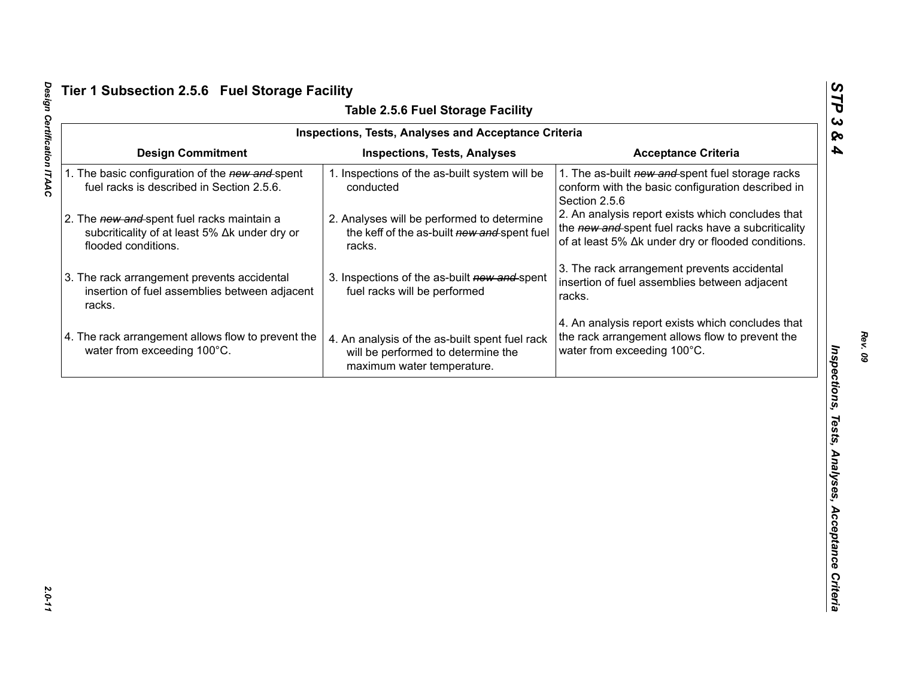|                                                                                                                    | <b>Table 2.5.6 Fuel Storage Facility</b>                                                                           |                                                                                                                                                               |
|--------------------------------------------------------------------------------------------------------------------|--------------------------------------------------------------------------------------------------------------------|---------------------------------------------------------------------------------------------------------------------------------------------------------------|
|                                                                                                                    | <b>Inspections, Tests, Analyses and Acceptance Criteria</b>                                                        |                                                                                                                                                               |
| <b>Design Commitment</b>                                                                                           | <b>Inspections, Tests, Analyses</b>                                                                                | <b>Acceptance Criteria</b>                                                                                                                                    |
| 1. The basic configuration of the new and spent<br>fuel racks is described in Section 2.5.6.                       | 1. Inspections of the as-built system will be<br>conducted                                                         | 1. The as-built new and spent fuel storage racks<br>conform with the basic configuration described in<br>Section 2.5.6                                        |
| 2. The new and spent fuel racks maintain a<br>subcriticality of at least 5% ∆k under dry or<br>flooded conditions. | 2. Analyses will be performed to determine<br>the keff of the as-built new and spent fuel<br>racks.                | 2. An analysis report exists which concludes that<br>the new and spent fuel racks have a subcriticality<br>of at least 5% Δk under dry or flooded conditions. |
| 3. The rack arrangement prevents accidental<br>insertion of fuel assemblies between adjacent<br>racks.             | 3. Inspections of the as-built new and spent<br>fuel racks will be performed                                       | 3. The rack arrangement prevents accidental<br>insertion of fuel assemblies between adjacent<br>racks.                                                        |
| 4. The rack arrangement allows flow to prevent the<br>water from exceeding 100°C.                                  | 4. An analysis of the as-built spent fuel rack<br>will be performed to determine the<br>maximum water temperature. | 4. An analysis report exists which concludes that<br>the rack arrangement allows flow to prevent the<br>water from exceeding 100°C.                           |
|                                                                                                                    |                                                                                                                    |                                                                                                                                                               |
|                                                                                                                    |                                                                                                                    |                                                                                                                                                               |
|                                                                                                                    |                                                                                                                    |                                                                                                                                                               |
|                                                                                                                    |                                                                                                                    |                                                                                                                                                               |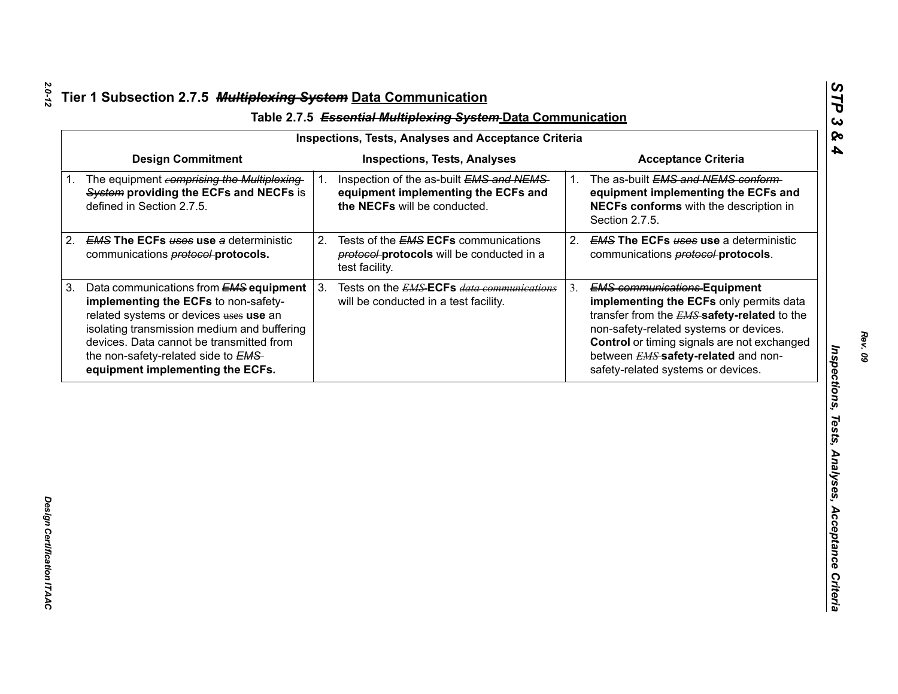| <b>Design Commitment</b><br><b>Inspections, Tests, Analyses</b><br><b>Acceptance Criteria</b><br>The equipment comprising the Multiplexing<br>Inspection of the as-built EMS and NEMS<br>The as-built EMS and NEMS conform-<br>$1_{-}$<br>1.<br>System providing the ECFs and NECFs is<br>equipment implementing the ECFs and<br>defined in Section 2.7.5.<br>the NECFs will be conducted.<br>Section 2.7.5.<br><b>EMS The ECFs uses use a deterministic</b><br>Tests of the <b>EMS ECFs</b> communications<br>2.<br>2.<br>communications <b>protocol-protocols</b> .<br>protocol-protocols will be conducted in a<br>communications <b>protocol-protocols</b> .<br>test facility.<br>3 <sub>1</sub><br>Data communications from EMS equipment<br>Tests on the <i>EMS</i> ECFs <i>data communications</i><br><b>EMS communications Equipment</b><br>3.<br>implementing the ECFs to non-safety-<br>will be conducted in a test facility.<br>related systems or devices uses use an<br>isolating transmission medium and buffering<br>non-safety-related systems or devices. | equipment implementing the ECFs and<br>NECFs conforms with the description in<br><b>EMS The ECFs uses use a deterministic</b><br>implementing the ECFs only permits data<br>transfer from the <b>EMS</b> safety-related to the<br>devices. Data cannot be transmitted from<br>Control or timing signals are not exchanged<br>the non-safety-related side to EMS-<br>between <b>EMS</b> safety-related and non-<br>safety-related systems or devices.<br>equipment implementing the ECFs. | <b>Inspections, Tests, Analyses and Acceptance Criteria</b> |  |
|----------------------------------------------------------------------------------------------------------------------------------------------------------------------------------------------------------------------------------------------------------------------------------------------------------------------------------------------------------------------------------------------------------------------------------------------------------------------------------------------------------------------------------------------------------------------------------------------------------------------------------------------------------------------------------------------------------------------------------------------------------------------------------------------------------------------------------------------------------------------------------------------------------------------------------------------------------------------------------------------------------------------------------------------------------------------------|------------------------------------------------------------------------------------------------------------------------------------------------------------------------------------------------------------------------------------------------------------------------------------------------------------------------------------------------------------------------------------------------------------------------------------------------------------------------------------------|-------------------------------------------------------------|--|
| $1_{\cdot}$<br>2.<br>3.                                                                                                                                                                                                                                                                                                                                                                                                                                                                                                                                                                                                                                                                                                                                                                                                                                                                                                                                                                                                                                                    |                                                                                                                                                                                                                                                                                                                                                                                                                                                                                          |                                                             |  |
|                                                                                                                                                                                                                                                                                                                                                                                                                                                                                                                                                                                                                                                                                                                                                                                                                                                                                                                                                                                                                                                                            |                                                                                                                                                                                                                                                                                                                                                                                                                                                                                          |                                                             |  |
|                                                                                                                                                                                                                                                                                                                                                                                                                                                                                                                                                                                                                                                                                                                                                                                                                                                                                                                                                                                                                                                                            |                                                                                                                                                                                                                                                                                                                                                                                                                                                                                          |                                                             |  |
|                                                                                                                                                                                                                                                                                                                                                                                                                                                                                                                                                                                                                                                                                                                                                                                                                                                                                                                                                                                                                                                                            |                                                                                                                                                                                                                                                                                                                                                                                                                                                                                          |                                                             |  |
|                                                                                                                                                                                                                                                                                                                                                                                                                                                                                                                                                                                                                                                                                                                                                                                                                                                                                                                                                                                                                                                                            |                                                                                                                                                                                                                                                                                                                                                                                                                                                                                          |                                                             |  |
|                                                                                                                                                                                                                                                                                                                                                                                                                                                                                                                                                                                                                                                                                                                                                                                                                                                                                                                                                                                                                                                                            |                                                                                                                                                                                                                                                                                                                                                                                                                                                                                          |                                                             |  |
|                                                                                                                                                                                                                                                                                                                                                                                                                                                                                                                                                                                                                                                                                                                                                                                                                                                                                                                                                                                                                                                                            |                                                                                                                                                                                                                                                                                                                                                                                                                                                                                          |                                                             |  |

*STP 3 & 4*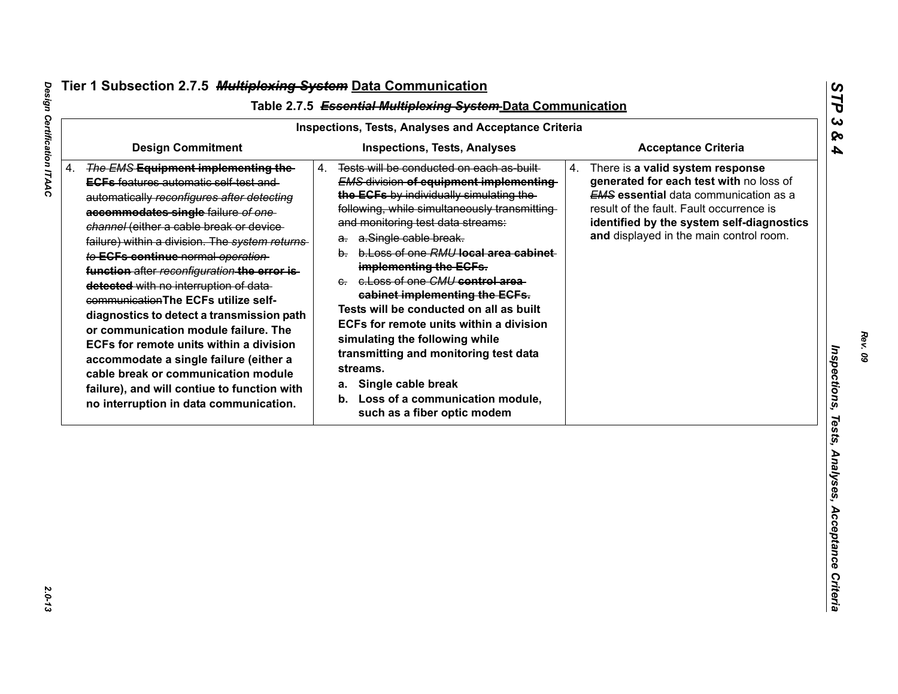$2.0 - 13$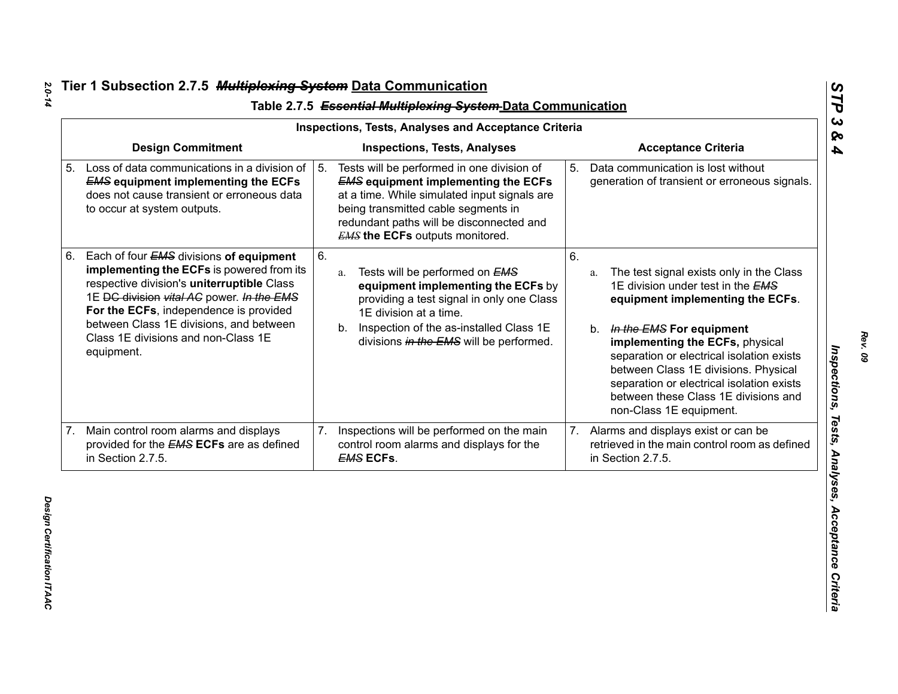|    | <b>Inspections, Tests, Analyses and Acceptance Criteria</b>                                                                                                                                                                                                                                                               |    |                                                                                                                                                                                                                                                                       |                |                                                                                                                                                                                                                                                                                                                                                                                                   |  |  |
|----|---------------------------------------------------------------------------------------------------------------------------------------------------------------------------------------------------------------------------------------------------------------------------------------------------------------------------|----|-----------------------------------------------------------------------------------------------------------------------------------------------------------------------------------------------------------------------------------------------------------------------|----------------|---------------------------------------------------------------------------------------------------------------------------------------------------------------------------------------------------------------------------------------------------------------------------------------------------------------------------------------------------------------------------------------------------|--|--|
|    | <b>Design Commitment</b>                                                                                                                                                                                                                                                                                                  |    | <b>Inspections, Tests, Analyses</b>                                                                                                                                                                                                                                   |                | <b>Acceptance Criteria</b>                                                                                                                                                                                                                                                                                                                                                                        |  |  |
|    | Loss of data communications in a division of<br><b>EMS equipment implementing the ECFs</b><br>does not cause transient or erroneous data<br>to occur at system outputs.                                                                                                                                                   | 5. | Tests will be performed in one division of<br><b>EMS equipment implementing the ECFs</b><br>at a time. While simulated input signals are<br>being transmitted cable segments in<br>redundant paths will be disconnected and<br><b>EMS the ECFs outputs monitored.</b> | 5 <sub>1</sub> | Data communication is lost without<br>generation of transient or erroneous signals.                                                                                                                                                                                                                                                                                                               |  |  |
| 6. | Each of four EMS divisions of equipment<br>implementing the ECFs is powered from its<br>respective division's uniterruptible Class<br>1E DC division vital AC power. In the EMS<br>For the ECFs, independence is provided<br>between Class 1E divisions, and between<br>Class 1E divisions and non-Class 1E<br>equipment. | 6. | Tests will be performed on EMS<br>a.<br>equipment implementing the ECFs by<br>providing a test signal in only one Class<br>1E division at a time.<br>Inspection of the as-installed Class 1E<br>b.<br>divisions in the EMS will be performed.                         | 6.             | The test signal exists only in the Class<br>a.<br>1E division under test in the EMS<br>equipment implementing the ECFs.<br>In the EMS For equipment<br>b.<br>implementing the ECFs, physical<br>separation or electrical isolation exists<br>between Class 1E divisions. Physical<br>separation or electrical isolation exists<br>between these Class 1E divisions and<br>non-Class 1E equipment. |  |  |
| 7. | Main control room alarms and displays<br>provided for the <b>EMS ECFs</b> are as defined<br>in Section 2.7.5.                                                                                                                                                                                                             | 7. | Inspections will be performed on the main<br>control room alarms and displays for the<br><b>EMS ECFs.</b>                                                                                                                                                             | 7.             | Alarms and displays exist or can be<br>retrieved in the main control room as defined<br>in Section 2.7.5.                                                                                                                                                                                                                                                                                         |  |  |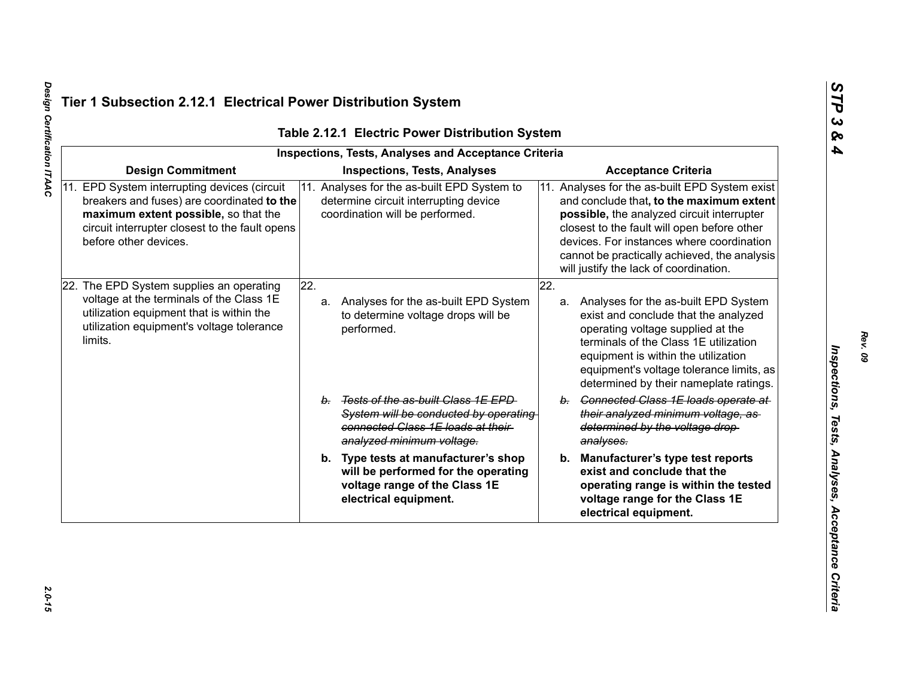|                                                                                                                                                                                                               | <b>Inspections, Tests, Analyses and Acceptance Criteria</b>                                                                                      |                            |                                                                                                                                                                                                                                                                                                                                |
|---------------------------------------------------------------------------------------------------------------------------------------------------------------------------------------------------------------|--------------------------------------------------------------------------------------------------------------------------------------------------|----------------------------|--------------------------------------------------------------------------------------------------------------------------------------------------------------------------------------------------------------------------------------------------------------------------------------------------------------------------------|
| <b>Design Commitment</b>                                                                                                                                                                                      | <b>Inspections, Tests, Analyses</b>                                                                                                              | <b>Acceptance Criteria</b> |                                                                                                                                                                                                                                                                                                                                |
| 11. EPD System interrupting devices (circuit<br>breakers and fuses) are coordinated to the<br>maximum extent possible, so that the<br>circuit interrupter closest to the fault opens<br>before other devices. | 11. Analyses for the as-built EPD System to<br>determine circuit interrupting device<br>coordination will be performed.                          |                            | 11. Analyses for the as-built EPD System exist<br>and conclude that, to the maximum extent<br>possible, the analyzed circuit interrupter<br>closest to the fault will open before other<br>devices. For instances where coordination<br>cannot be practically achieved, the analysis<br>will justify the lack of coordination. |
| 22. The EPD System supplies an operating<br>voltage at the terminals of the Class 1E<br>utilization equipment that is within the<br>utilization equipment's voltage tolerance<br>limits.                      | $\overline{22}$ .<br>Analyses for the as-built EPD System<br>a.<br>to determine voltage drops will be<br>performed.                              | 22.                        | a. Analyses for the as-built EPD System<br>exist and conclude that the analyzed<br>operating voltage supplied at the<br>terminals of the Class 1E utilization<br>equipment is within the utilization<br>equipment's voltage tolerance limits, as<br>determined by their nameplate ratings.                                     |
|                                                                                                                                                                                                               | b. Tests of the as-built Class 1E EPD<br>System will be conducted by operating<br>connected Class 1E loads at their<br>analyzed minimum voltage. |                            | b. Connected Class 1E loads operate at<br>their analyzed minimum voltage, as-<br>determined by the voltage drop-<br>analyses.                                                                                                                                                                                                  |
|                                                                                                                                                                                                               | b. Type tests at manufacturer's shop<br>will be performed for the operating<br>voltage range of the Class 1E<br>electrical equipment.            |                            | b. Manufacturer's type test reports<br>exist and conclude that the<br>operating range is within the tested<br>voltage range for the Class 1E<br>electrical equipment.                                                                                                                                                          |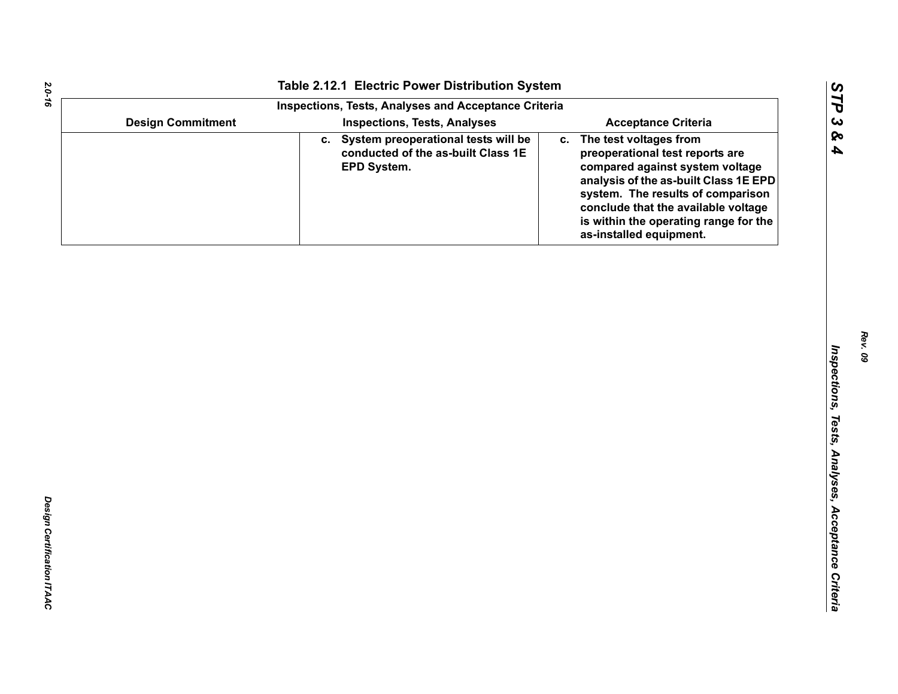| Table 2.12.1 Electric Power Distribution System   |                                                                                                                                                                                                                                                                                             |
|---------------------------------------------------|---------------------------------------------------------------------------------------------------------------------------------------------------------------------------------------------------------------------------------------------------------------------------------------------|
|                                                   |                                                                                                                                                                                                                                                                                             |
|                                                   | <b>Acceptance Criteria</b>                                                                                                                                                                                                                                                                  |
| conducted of the as-built Class 1E<br>EPD System. | The test voltages from<br>C.<br>preoperational test reports are<br>compared against system voltage<br>analysis of the as-built Class 1E EPD<br>system. The results of comparison<br>conclude that the available voltage<br>is within the operating range for the<br>as-installed equipment. |
|                                                   |                                                                                                                                                                                                                                                                                             |
|                                                   |                                                                                                                                                                                                                                                                                             |
|                                                   |                                                                                                                                                                                                                                                                                             |
|                                                   |                                                                                                                                                                                                                                                                                             |
|                                                   |                                                                                                                                                                                                                                                                                             |
|                                                   |                                                                                                                                                                                                                                                                                             |
|                                                   |                                                                                                                                                                                                                                                                                             |
|                                                   |                                                                                                                                                                                                                                                                                             |
|                                                   |                                                                                                                                                                                                                                                                                             |
|                                                   |                                                                                                                                                                                                                                                                                             |
|                                                   |                                                                                                                                                                                                                                                                                             |
|                                                   |                                                                                                                                                                                                                                                                                             |
| <b>Design Commitment</b>                          | <b>Inspections, Tests, Analyses and Acceptance Criteria</b><br><b>Inspections, Tests, Analyses</b><br>c. System preoperational tests will be                                                                                                                                                |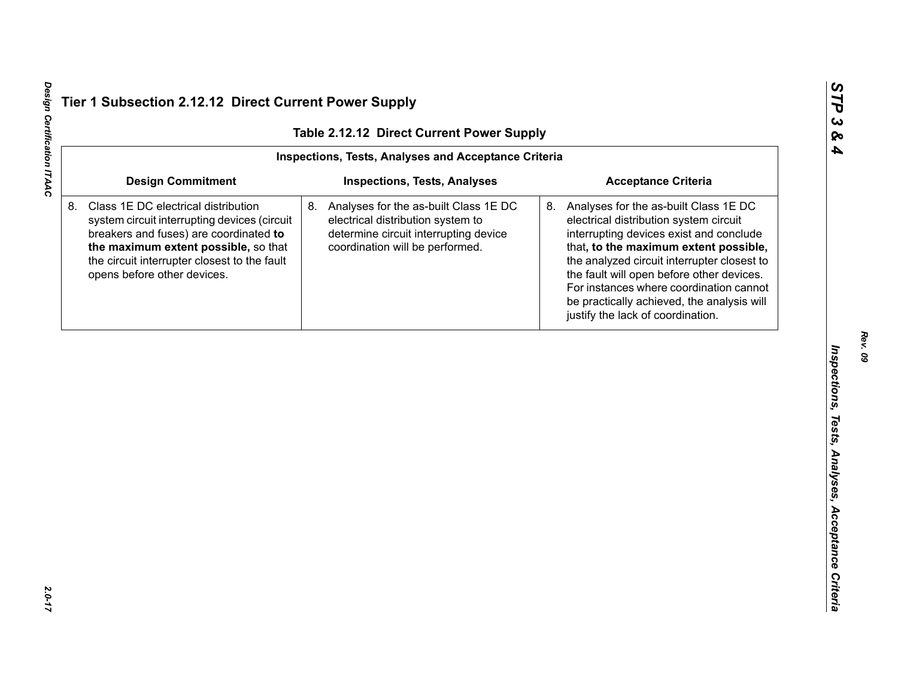| Table 2.12.12 Direct Current Power Supply |                                                                                                                                                                                                                                                      |                                                                                                                                                           |                                                                                                                                                                                                                                                                                                                                                                                                  |  |  |
|-------------------------------------------|------------------------------------------------------------------------------------------------------------------------------------------------------------------------------------------------------------------------------------------------------|-----------------------------------------------------------------------------------------------------------------------------------------------------------|--------------------------------------------------------------------------------------------------------------------------------------------------------------------------------------------------------------------------------------------------------------------------------------------------------------------------------------------------------------------------------------------------|--|--|
|                                           |                                                                                                                                                                                                                                                      | Inspections, Tests, Analyses and Acceptance Criteria                                                                                                      |                                                                                                                                                                                                                                                                                                                                                                                                  |  |  |
|                                           | <b>Design Commitment</b>                                                                                                                                                                                                                             | <b>Inspections, Tests, Analyses</b>                                                                                                                       | <b>Acceptance Criteria</b>                                                                                                                                                                                                                                                                                                                                                                       |  |  |
|                                           | Class 1E DC electrical distribution<br>system circuit interrupting devices (circuit<br>breakers and fuses) are coordinated to<br>the maximum extent possible, so that<br>the circuit interrupter closest to the fault<br>opens before other devices. | 8. Analyses for the as-built Class 1E DC<br>electrical distribution system to<br>determine circuit interrupting device<br>coordination will be performed. | 8. Analyses for the as-built Class 1E DC<br>electrical distribution system circuit<br>interrupting devices exist and conclude<br>that, to the maximum extent possible,<br>the analyzed circuit interrupter closest to<br>the fault will open before other devices.<br>For instances where coordination cannot<br>be practically achieved, the analysis will<br>justify the lack of coordination. |  |  |
|                                           |                                                                                                                                                                                                                                                      |                                                                                                                                                           |                                                                                                                                                                                                                                                                                                                                                                                                  |  |  |
|                                           |                                                                                                                                                                                                                                                      |                                                                                                                                                           |                                                                                                                                                                                                                                                                                                                                                                                                  |  |  |
|                                           |                                                                                                                                                                                                                                                      |                                                                                                                                                           |                                                                                                                                                                                                                                                                                                                                                                                                  |  |  |
|                                           |                                                                                                                                                                                                                                                      |                                                                                                                                                           |                                                                                                                                                                                                                                                                                                                                                                                                  |  |  |
|                                           |                                                                                                                                                                                                                                                      |                                                                                                                                                           |                                                                                                                                                                                                                                                                                                                                                                                                  |  |  |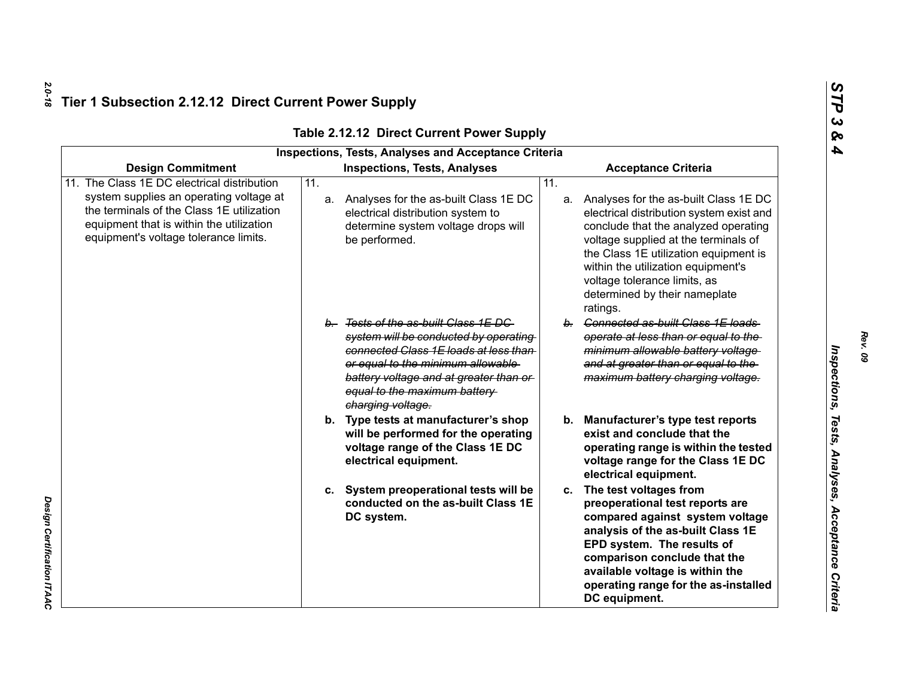|                                                                                                                                                                                                                          | <b>Inspections, Tests, Analyses and Acceptance Criteria</b>                                                                                                                                                                                                |                                                                                                                                                                                                                                                                                                                                         |  |  |  |
|--------------------------------------------------------------------------------------------------------------------------------------------------------------------------------------------------------------------------|------------------------------------------------------------------------------------------------------------------------------------------------------------------------------------------------------------------------------------------------------------|-----------------------------------------------------------------------------------------------------------------------------------------------------------------------------------------------------------------------------------------------------------------------------------------------------------------------------------------|--|--|--|
| <b>Design Commitment</b>                                                                                                                                                                                                 | <b>Inspections, Tests, Analyses</b>                                                                                                                                                                                                                        | <b>Acceptance Criteria</b>                                                                                                                                                                                                                                                                                                              |  |  |  |
| 11. The Class 1E DC electrical distribution<br>system supplies an operating voltage at<br>the terminals of the Class 1E utilization<br>equipment that is within the utilization<br>equipment's voltage tolerance limits. | $\overline{11}$ .<br>a. Analyses for the as-built Class 1E DC<br>electrical distribution system to<br>determine system voltage drops will<br>be performed.                                                                                                 | 11.<br>a. Analyses for the as-built Class 1E DC<br>electrical distribution system exist and<br>conclude that the analyzed operating<br>voltage supplied at the terminals of<br>the Class 1E utilization equipment is<br>within the utilization equipment's<br>voltage tolerance limits, as<br>determined by their nameplate<br>ratings. |  |  |  |
|                                                                                                                                                                                                                          | b. Tests of the as-built Class 1E DC<br>system will be conducted by operating<br>connected Class 1E loads at less than<br>or equal to the minimum allowable<br>battery voltage and at greater than or<br>equal to the maximum battery<br>charging voltage. | b. Connected as-built Class 1E loads<br>operate at less than or equal to the<br>minimum allowable battery voltage<br>and at greater than or equal to the<br>maximum battery charging voltage.                                                                                                                                           |  |  |  |
|                                                                                                                                                                                                                          | b. Type tests at manufacturer's shop<br>will be performed for the operating<br>voltage range of the Class 1E DC<br>electrical equipment.                                                                                                                   | <b>Manufacturer's type test reports</b><br>b.<br>exist and conclude that the<br>operating range is within the tested<br>voltage range for the Class 1E DC<br>electrical equipment.                                                                                                                                                      |  |  |  |
|                                                                                                                                                                                                                          | c. System preoperational tests will be<br>conducted on the as-built Class 1E<br>DC system.                                                                                                                                                                 | c. The test voltages from<br>preoperational test reports are<br>compared against system voltage<br>analysis of the as-built Class 1E<br>EPD system. The results of<br>comparison conclude that the<br>available voltage is within the<br>operating range for the as-installed<br>DC equipment.                                          |  |  |  |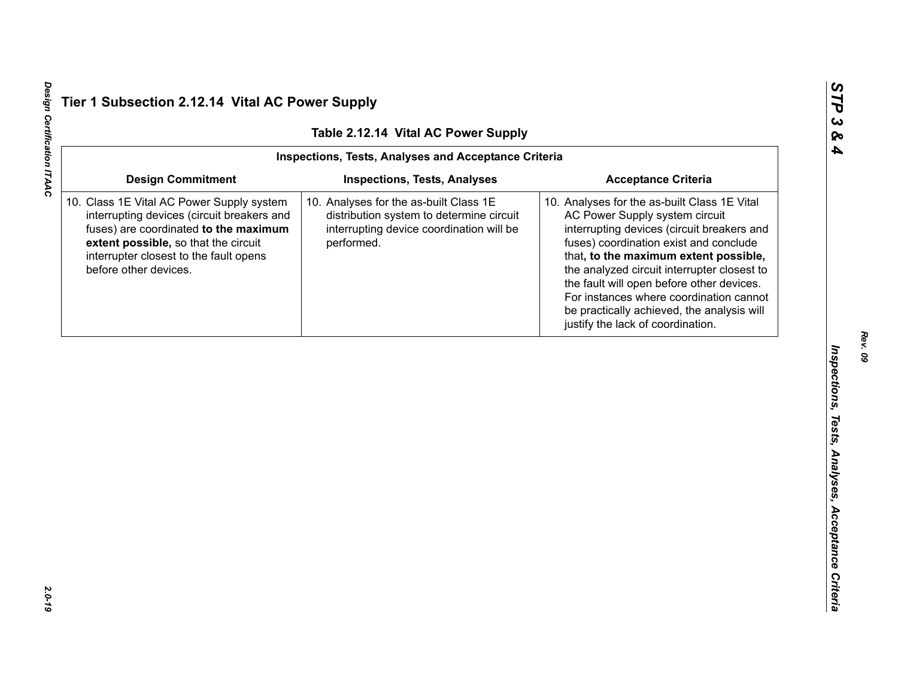| Table 2.12.14 Vital AC Power Supply<br><b>Inspections, Tests, Analyses and Acceptance Criteria</b>                                                                                                                                          |                                                                                                                                              |                                                                                                                                                                                                                                                                                                                                                                                                                                           |  |  |
|---------------------------------------------------------------------------------------------------------------------------------------------------------------------------------------------------------------------------------------------|----------------------------------------------------------------------------------------------------------------------------------------------|-------------------------------------------------------------------------------------------------------------------------------------------------------------------------------------------------------------------------------------------------------------------------------------------------------------------------------------------------------------------------------------------------------------------------------------------|--|--|
|                                                                                                                                                                                                                                             |                                                                                                                                              |                                                                                                                                                                                                                                                                                                                                                                                                                                           |  |  |
| 10. Class 1E Vital AC Power Supply system<br>interrupting devices (circuit breakers and<br>fuses) are coordinated to the maximum<br>extent possible, so that the circuit<br>interrupter closest to the fault opens<br>before other devices. | 10. Analyses for the as-built Class 1E<br>distribution system to determine circuit<br>interrupting device coordination will be<br>performed. | 10. Analyses for the as-built Class 1E Vital<br>AC Power Supply system circuit<br>interrupting devices (circuit breakers and<br>fuses) coordination exist and conclude<br>that, to the maximum extent possible,<br>the analyzed circuit interrupter closest to<br>the fault will open before other devices.<br>For instances where coordination cannot<br>be practically achieved, the analysis will<br>justify the lack of coordination. |  |  |
|                                                                                                                                                                                                                                             |                                                                                                                                              |                                                                                                                                                                                                                                                                                                                                                                                                                                           |  |  |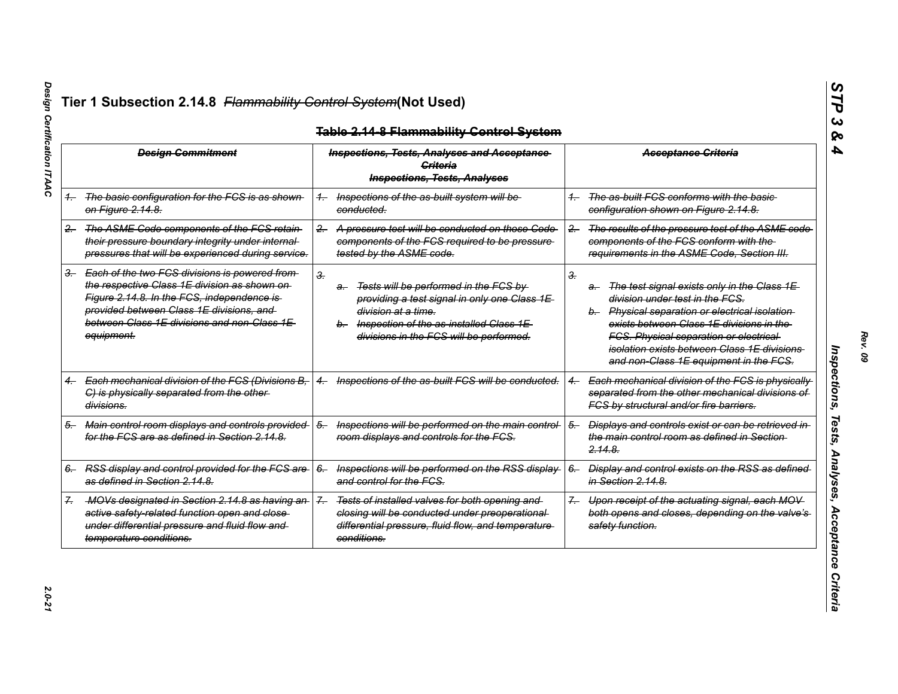|       | <b>Design Commitment</b>                                                                                                                                                                                                                                 |                   | <b>Inspections, Tests, Analyses and Acceptance</b><br>Criteria<br><b>Inspections, Tests, Analyses</b>                                                                                                       |       | <b>Acceptance Criteria</b>                                                                                                                                                                                                                                                                                                    |
|-------|----------------------------------------------------------------------------------------------------------------------------------------------------------------------------------------------------------------------------------------------------------|-------------------|-------------------------------------------------------------------------------------------------------------------------------------------------------------------------------------------------------------|-------|-------------------------------------------------------------------------------------------------------------------------------------------------------------------------------------------------------------------------------------------------------------------------------------------------------------------------------|
|       | 1. The basic configuration for the FCS is as shown<br><del>on Figure 2.14.8.</del>                                                                                                                                                                       |                   | Inspections of the as-built system will be<br>conducted.                                                                                                                                                    |       | The as-built FCS conforms with the basic-<br>configuration shown on Figure 2.14.8.                                                                                                                                                                                                                                            |
| $2 -$ | The ASME Code components of the FCS retain<br>their pressure boundary integrity under internal-<br>pressures that will be experienced during service.                                                                                                    | $2 -$             | A pressure test will be conducted on those Code<br>components of the FCS required to be pressure<br>tested by the ASME code.                                                                                | $2 -$ | The results of the pressure test of the ASME code<br>components of the FCS conform with the<br>requirements in the ASME Code, Section III.                                                                                                                                                                                    |
|       | 3. Each of the two FCS divisions is powered from<br>the respective Class 1E division as shown on-<br>Figure 2.14.8. In the FCS, independence is<br>provided between Class 1E divisions, and<br>between Class 1E divisions and non-Class 1E<br>equipment. | 3.                | Tests will be performed in the FCS by<br>a-<br>providing a test signal in only one Class 1E<br>division at a time.<br>b. Inspection of the as-installed Class 1E<br>divisions in the FCS will be performed. | З.    | The test signal exists only in the Class 1E<br>a-<br>division under test in the FCS.<br>b. Physical separation or electrical isolation<br>exists between Class 1E divisions in the<br><b>FCS. Physical separation or electrical</b><br>isolation exists between Class 1E divisions.<br>and non-Class 1E equipment in the FCS. |
|       | Each mechanical division of the FCS (Divisions B,<br>$4 -$<br>C) is physically separated from the other-<br>divisions.                                                                                                                                   | $^{4-}$           | Inspections of the as-built FCS will be conducted.                                                                                                                                                          |       | Each mechanical division of the FCS is physically<br>separated from the other mechanical divisions of<br>FCS by structural and/or fire barriers.                                                                                                                                                                              |
| 5.    | Main control room displays and controls provided<br>for the FCS are as defined in Section 2.14.8.                                                                                                                                                        | $5-$              | Inspections will be performed on the main control-<br>room displays and controls for the FCS.                                                                                                               | $5-$  | Displays and controls exist or can be retrieved in<br>the main control room as defined in Section-<br><del>2.14.8.</del>                                                                                                                                                                                                      |
|       | 6. RSS display and control provided for the FCS are<br>as defined in Section 2.14.8.                                                                                                                                                                     | $6-$              | Inspections will be performed on the RSS display-<br>and control for the FCS.                                                                                                                               | $6-$  | Display and control exists on the RSS as defined<br>in Section 2.14.8.                                                                                                                                                                                                                                                        |
|       | -MOVs designated in Section 2.14.8 as having an-<br>active safety-related function open and close-<br>under differential pressure and fluid flow and<br>temperature conditions.                                                                          | $\mathcal{Z}_{-}$ | Tests of installed valves for both opening and<br>closing will be conducted under preoperational-<br>differential pressure, fluid flow, and temperature<br>conditions.                                      | $7 -$ | Upon receipt of the actuating signal, each MOV-<br>both opens and closes, depending on the valve's<br>safety function.                                                                                                                                                                                                        |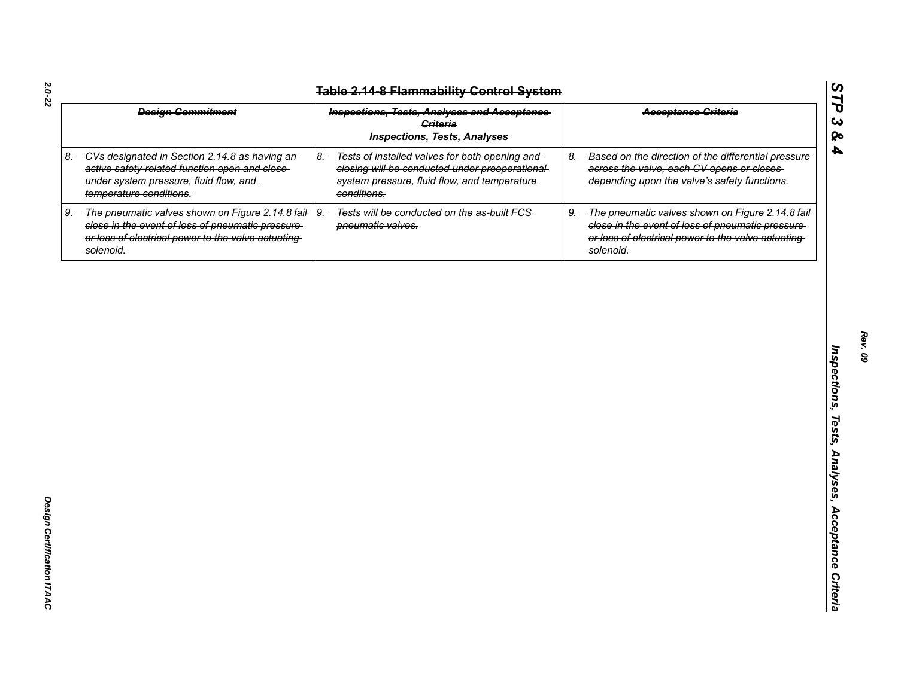|    | <b>Design Commitment</b>                                                                                                                                                   |      | <b>Inspections, Tests, Analyses and Acceptance</b><br>Criteria<br><b>Inspections, Tests, Analyses</b>                                                             |      | <b>Acceptance Criteria</b>                                                                                                                                                |
|----|----------------------------------------------------------------------------------------------------------------------------------------------------------------------------|------|-------------------------------------------------------------------------------------------------------------------------------------------------------------------|------|---------------------------------------------------------------------------------------------------------------------------------------------------------------------------|
|    | 8. CVs designated in Section 2.14.8 as having an-<br>active safety-related function open and close-<br>under system pressure, fluid flow, and<br>temperature conditions.   | $8-$ | Tests of installed valves for both opening and<br>closing will be conducted under preoperational-<br>system pressure, fluid flow, and temperature-<br>conditions. | $8-$ | Based on the direction of the differential pressure-<br>across the valve, each CV opens or closes<br>depending upon the valve's safety functions.                         |
| 9. | The pneumatic valves shown on Figure 2.14.8 fail-<br>close in the event of loss of pneumatic pressure-<br>or loss of electrical power to the valve actuating-<br>solenoid. | $9-$ | Tests will be conducted on the as-built FCS-<br>pneumatic valves.                                                                                                 | $9-$ | The pneumatic valves shown on Figure 2.14.8 fail-<br>close in the event of loss of pneumatic pressure-<br>or loss of electrical power to the valve actuating<br>solenoid. |
|    |                                                                                                                                                                            |      |                                                                                                                                                                   |      |                                                                                                                                                                           |
|    |                                                                                                                                                                            |      |                                                                                                                                                                   |      |                                                                                                                                                                           |
|    |                                                                                                                                                                            |      |                                                                                                                                                                   |      |                                                                                                                                                                           |
|    |                                                                                                                                                                            |      |                                                                                                                                                                   |      |                                                                                                                                                                           |
|    |                                                                                                                                                                            |      |                                                                                                                                                                   |      |                                                                                                                                                                           |
|    |                                                                                                                                                                            |      |                                                                                                                                                                   |      |                                                                                                                                                                           |
|    |                                                                                                                                                                            |      |                                                                                                                                                                   |      |                                                                                                                                                                           |
|    |                                                                                                                                                                            |      |                                                                                                                                                                   |      |                                                                                                                                                                           |

*STP 3 & 4*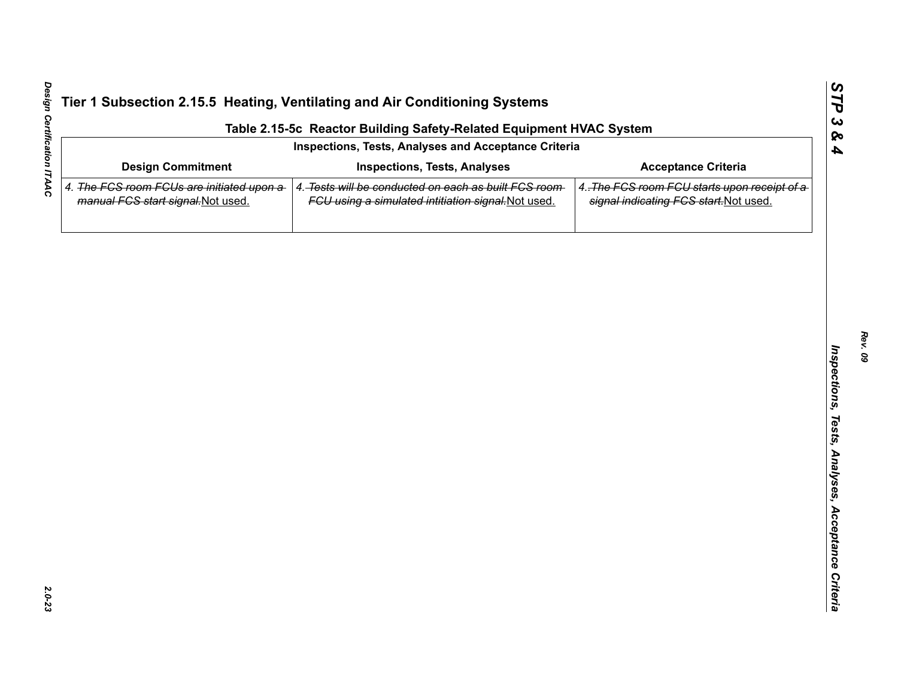| Inspections, Tests, Analyses and Acceptance Criteria<br><b>Inspections, Tests, Analyses</b><br>4. The FCS room FCUs are initiated upon a<br>4. Tests will be conducted on each as built FCS room<br>FCU using a simulated intitiation signal. Not used. | <b>Acceptance Criteria</b><br>signal indicating FCS start. Not used. |
|---------------------------------------------------------------------------------------------------------------------------------------------------------------------------------------------------------------------------------------------------------|----------------------------------------------------------------------|
|                                                                                                                                                                                                                                                         | 4. The FCS room FCU starts upon receipt of a                         |
|                                                                                                                                                                                                                                                         |                                                                      |
|                                                                                                                                                                                                                                                         |                                                                      |
|                                                                                                                                                                                                                                                         |                                                                      |
|                                                                                                                                                                                                                                                         |                                                                      |
|                                                                                                                                                                                                                                                         |                                                                      |
|                                                                                                                                                                                                                                                         |                                                                      |
|                                                                                                                                                                                                                                                         |                                                                      |
|                                                                                                                                                                                                                                                         |                                                                      |
|                                                                                                                                                                                                                                                         |                                                                      |
|                                                                                                                                                                                                                                                         |                                                                      |
|                                                                                                                                                                                                                                                         |                                                                      |
|                                                                                                                                                                                                                                                         |                                                                      |
|                                                                                                                                                                                                                                                         |                                                                      |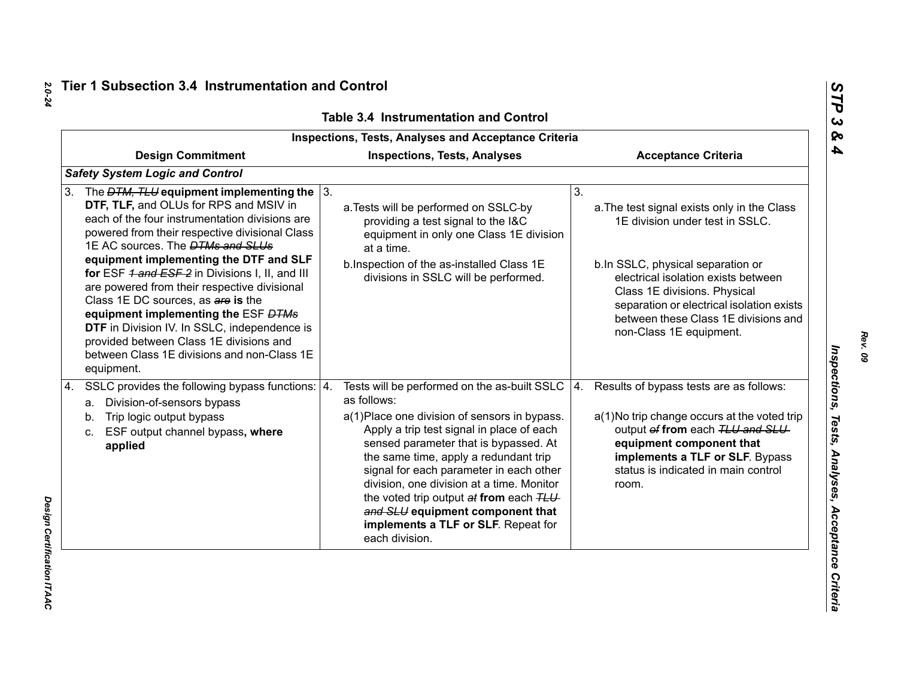| <b>Inspections, Tests, Analyses and Acceptance Criteria</b>                                                                                                                                                                                                                                                                                                                                                                                                                                                                                                                                                                              |                                                                                                                                                                                                                                                                                                                                                                                                                                                                                   |                                                                                                                                                                                                                                                                                                                  |  |  |  |
|------------------------------------------------------------------------------------------------------------------------------------------------------------------------------------------------------------------------------------------------------------------------------------------------------------------------------------------------------------------------------------------------------------------------------------------------------------------------------------------------------------------------------------------------------------------------------------------------------------------------------------------|-----------------------------------------------------------------------------------------------------------------------------------------------------------------------------------------------------------------------------------------------------------------------------------------------------------------------------------------------------------------------------------------------------------------------------------------------------------------------------------|------------------------------------------------------------------------------------------------------------------------------------------------------------------------------------------------------------------------------------------------------------------------------------------------------------------|--|--|--|
| <b>Design Commitment</b>                                                                                                                                                                                                                                                                                                                                                                                                                                                                                                                                                                                                                 | <b>Inspections, Tests, Analyses</b>                                                                                                                                                                                                                                                                                                                                                                                                                                               | <b>Acceptance Criteria</b>                                                                                                                                                                                                                                                                                       |  |  |  |
| <b>Safety System Logic and Control</b>                                                                                                                                                                                                                                                                                                                                                                                                                                                                                                                                                                                                   |                                                                                                                                                                                                                                                                                                                                                                                                                                                                                   |                                                                                                                                                                                                                                                                                                                  |  |  |  |
| The $DTM$ , TLU equipment implementing the $\sqrt{3}$ .<br>3.<br>DTF, TLF, and OLUs for RPS and MSIV in<br>each of the four instrumentation divisions are<br>powered from their respective divisional Class<br>1E AC sources. The <b>DTMs and SLUs</b><br>equipment implementing the DTF and SLF<br>for ESF 1 and ESF 2 in Divisions I, II, and III<br>are powered from their respective divisional<br>Class 1E DC sources, as are is the<br>equipment implementing the ESF DTMs<br>DTF in Division IV. In SSLC, independence is<br>provided between Class 1E divisions and<br>between Class 1E divisions and non-Class 1E<br>equipment. | a. Tests will be performed on SSLC-by<br>providing a test signal to the I&C<br>equipment in only one Class 1E division<br>at a time.<br>b. Inspection of the as-installed Class 1E<br>divisions in SSLC will be performed.                                                                                                                                                                                                                                                        | 3.<br>a. The test signal exists only in the Class<br>1E division under test in SSLC.<br>b.In SSLC, physical separation or<br>electrical isolation exists between<br>Class 1E divisions. Physical<br>separation or electrical isolation exists<br>between these Class 1E divisions and<br>non-Class 1E equipment. |  |  |  |
| SSLC provides the following bypass functions:   4.<br>4.<br>a. Division-of-sensors bypass<br>Trip logic output bypass<br>b.<br>ESF output channel bypass, where<br>c.<br>applied                                                                                                                                                                                                                                                                                                                                                                                                                                                         | Tests will be performed on the as-built SSLC $ 4$ .<br>as follows:<br>a(1) Place one division of sensors in bypass.<br>Apply a trip test signal in place of each<br>sensed parameter that is bypassed. At<br>the same time, apply a redundant trip<br>signal for each parameter in each other<br>division, one division at a time. Monitor<br>the voted trip output at from each TLU<br>and SLU equipment component that<br>implements a TLF or SLF. Repeat for<br>each division. | Results of bypass tests are as follows:<br>a(1) No trip change occurs at the voted trip<br>output of from each TLU and SLU<br>equipment component that<br>implements a TLF or SLF. Bypass<br>status is indicated in main control<br>room.                                                                        |  |  |  |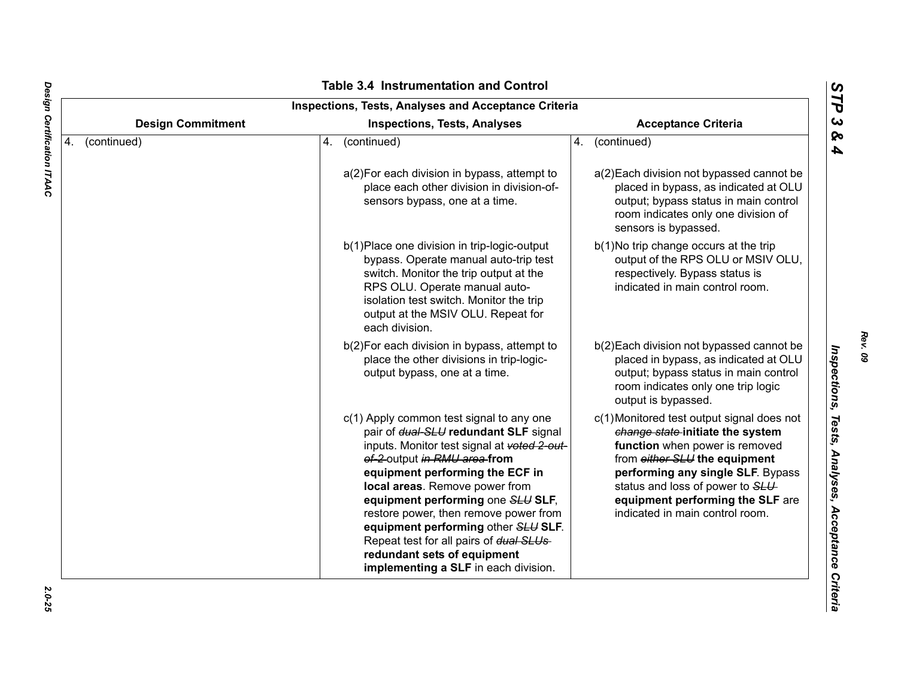| <b>Design Commitment</b><br><b>Acceptance Criteria</b><br><b>Inspections, Tests, Analyses</b> |             |                                                                                                                                                                                                                                                                                                                                                                                                                                                                              |    |                                                                                                                                                                                                                                                                                                   |  |
|-----------------------------------------------------------------------------------------------|-------------|------------------------------------------------------------------------------------------------------------------------------------------------------------------------------------------------------------------------------------------------------------------------------------------------------------------------------------------------------------------------------------------------------------------------------------------------------------------------------|----|---------------------------------------------------------------------------------------------------------------------------------------------------------------------------------------------------------------------------------------------------------------------------------------------------|--|
| 4.                                                                                            | (continued) | (continued)<br>4.                                                                                                                                                                                                                                                                                                                                                                                                                                                            | 4. | (continued)                                                                                                                                                                                                                                                                                       |  |
|                                                                                               |             | a(2) For each division in bypass, attempt to<br>place each other division in division-of-<br>sensors bypass, one at a time.                                                                                                                                                                                                                                                                                                                                                  |    | a(2) Each division not bypassed cannot be<br>placed in bypass, as indicated at OLU<br>output; bypass status in main control<br>room indicates only one division of<br>sensors is bypassed.                                                                                                        |  |
|                                                                                               |             | b(1) Place one division in trip-logic-output<br>bypass. Operate manual auto-trip test<br>switch. Monitor the trip output at the<br>RPS OLU. Operate manual auto-<br>isolation test switch. Monitor the trip<br>output at the MSIV OLU. Repeat for<br>each division.                                                                                                                                                                                                          |    | b(1) No trip change occurs at the trip<br>output of the RPS OLU or MSIV OLU,<br>respectively. Bypass status is<br>indicated in main control room.                                                                                                                                                 |  |
|                                                                                               |             | b(2) For each division in bypass, attempt to<br>place the other divisions in trip-logic-<br>output bypass, one at a time.                                                                                                                                                                                                                                                                                                                                                    |    | b(2) Each division not bypassed cannot be<br>placed in bypass, as indicated at OLU<br>output; bypass status in main control<br>room indicates only one trip logic<br>output is bypassed.                                                                                                          |  |
|                                                                                               |             | c(1) Apply common test signal to any one<br>pair of dual-SLU redundant SLF signal<br>inputs. Monitor test signal at voted 2-out-<br>of-2-output in RMU area-from<br>equipment performing the ECF in<br>local areas. Remove power from<br>equipment performing one SLU SLF,<br>restore power, then remove power from<br>equipment performing other SLU SLF.<br>Repeat test for all pairs of dual SLUs-<br>redundant sets of equipment<br>implementing a SLF in each division. |    | c(1) Monitored test output signal does not<br>change state-initiate the system<br>function when power is removed<br>from either SLU the equipment<br>performing any single SLF. Bypass<br>status and loss of power to SLU-<br>equipment performing the SLF are<br>indicated in main control room. |  |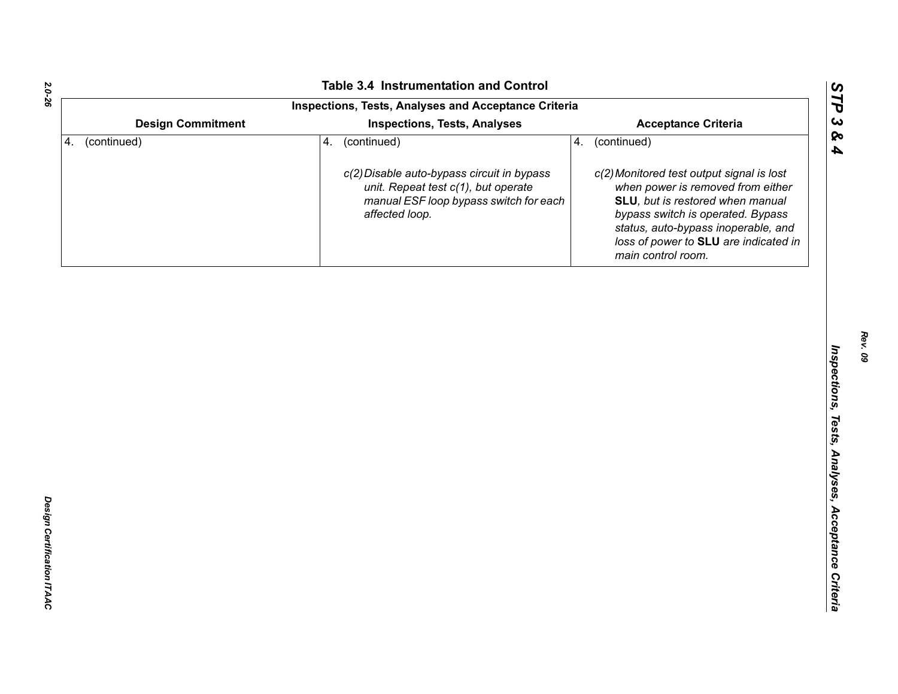*STP 3 & 4*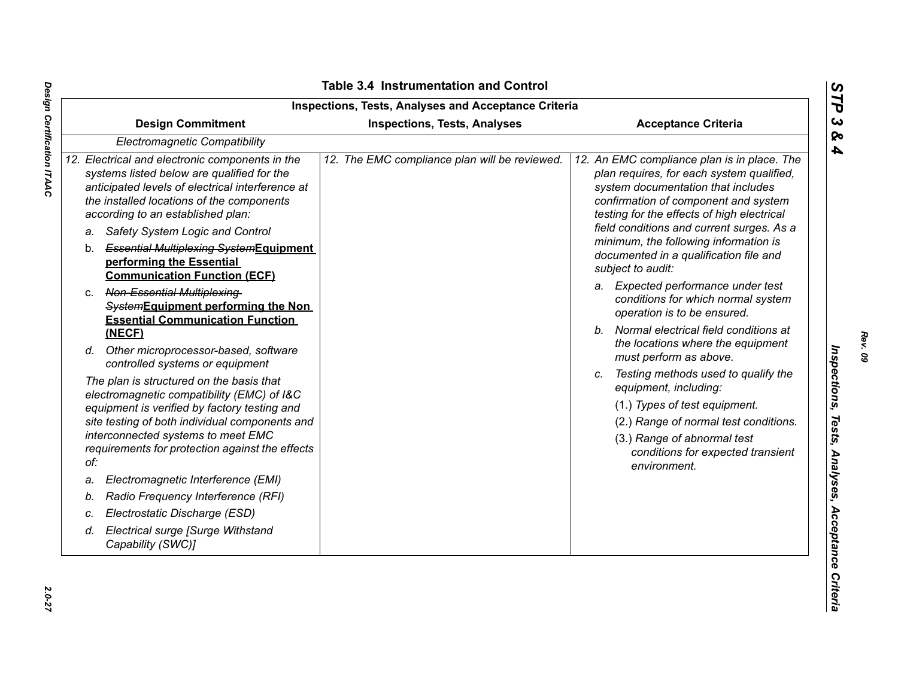|    | <b>Design Commitment</b>                                                                                                                                                                                                                                                                 | <b>Inspections, Tests, Analyses</b>           | <b>Acceptance Criteria</b>                                                                                                                                                                                                                                        |  |
|----|------------------------------------------------------------------------------------------------------------------------------------------------------------------------------------------------------------------------------------------------------------------------------------------|-----------------------------------------------|-------------------------------------------------------------------------------------------------------------------------------------------------------------------------------------------------------------------------------------------------------------------|--|
|    | Electromagnetic Compatibility                                                                                                                                                                                                                                                            |                                               |                                                                                                                                                                                                                                                                   |  |
|    | 12. Electrical and electronic components in the<br>systems listed below are qualified for the<br>anticipated levels of electrical interference at<br>the installed locations of the components<br>according to an established plan:<br>Safety System Logic and Control<br>a.             | 12. The EMC compliance plan will be reviewed. | 12. An EMC compliance plan is in place. The<br>plan requires, for each system qualified,<br>system documentation that includes<br>confirmation of component and system<br>testing for the effects of high electrical<br>field conditions and current surges. As a |  |
|    | <b>Essential Multiplexing-SystemEquipment</b><br>b.<br>performing the Essential<br><b>Communication Function (ECF)</b>                                                                                                                                                                   |                                               | minimum, the following information is<br>documented in a qualification file and<br>subject to audit:                                                                                                                                                              |  |
|    | Non-Essential Multiplexing-<br>C.<br>SystemEquipment performing the Non<br><b>Essential Communication Function</b><br>(NECF)                                                                                                                                                             |                                               | a. Expected performance under test<br>conditions for which normal system<br>operation is to be ensured.<br>Normal electrical field conditions at<br>b.                                                                                                            |  |
|    | Other microprocessor-based, software<br>d.<br>controlled systems or equipment                                                                                                                                                                                                            |                                               | the locations where the equipment<br>must perform as above.                                                                                                                                                                                                       |  |
|    | The plan is structured on the basis that<br>electromagnetic compatibility (EMC) of I&C<br>equipment is verified by factory testing and<br>site testing of both individual components and<br>interconnected systems to meet EMC<br>requirements for protection against the effects<br>of: |                                               | Testing methods used to qualify the<br>C.<br>equipment, including:<br>(1.) Types of test equipment.<br>(2.) Range of normal test conditions.<br>(3.) Range of abnormal test<br>conditions for expected transient<br>environment.                                  |  |
| a. | Electromagnetic Interference (EMI)                                                                                                                                                                                                                                                       |                                               |                                                                                                                                                                                                                                                                   |  |
| b. | Radio Frequency Interference (RFI)                                                                                                                                                                                                                                                       |                                               |                                                                                                                                                                                                                                                                   |  |
| C. | Electrostatic Discharge (ESD)                                                                                                                                                                                                                                                            |                                               |                                                                                                                                                                                                                                                                   |  |
| d. | Electrical surge [Surge Withstand<br>Capability (SWC)]                                                                                                                                                                                                                                   |                                               |                                                                                                                                                                                                                                                                   |  |